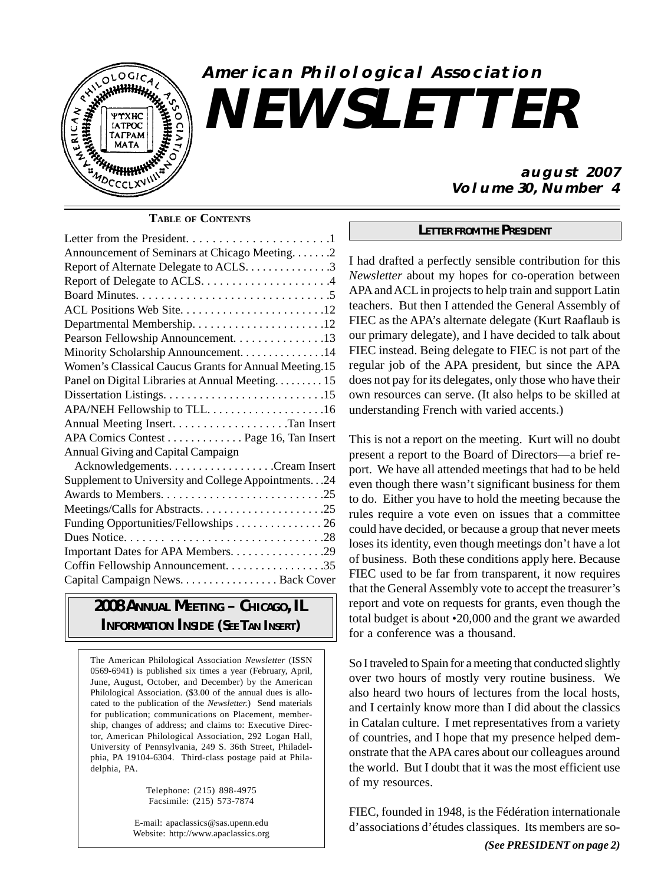

## **American Philological Association NEWSLETTER**

#### **TABLE OF CONTENTS**

| Announcement of Seminars at Chicago Meeting2                                           |  |
|----------------------------------------------------------------------------------------|--|
| Report of Alternate Delegate to ACLS. 3                                                |  |
|                                                                                        |  |
| Board Minutes. $\ldots \ldots \ldots \ldots \ldots \ldots \ldots \ldots \ldots \ldots$ |  |
|                                                                                        |  |
|                                                                                        |  |
| Pearson Fellowship Announcement. 13                                                    |  |
| Minority Scholarship Announcement. 14                                                  |  |
| Women's Classical Caucus Grants for Annual Meeting.15                                  |  |
| Panel on Digital Libraries at Annual Meeting 15                                        |  |
|                                                                                        |  |
|                                                                                        |  |
|                                                                                        |  |
| APA Comics Contest Page 16, Tan Insert                                                 |  |
| Annual Giving and Capital Campaign                                                     |  |
|                                                                                        |  |
| Supplement to University and College Appointments24                                    |  |
|                                                                                        |  |
|                                                                                        |  |
| Funding Opportunities/Fellowships 26                                                   |  |
|                                                                                        |  |
|                                                                                        |  |
| Coffin Fellowship Announcement. 35                                                     |  |
| Capital Campaign News. Back Cover                                                      |  |
|                                                                                        |  |

## *2008 ANNUAL MEETING – CHICAGO, IL INFORMATION INSIDE (SEE TAN INSERT)*

The American Philological Association *Newsletter* (ISSN 0569-6941) is published six times a year (February, April, June, August, October, and December) by the American Philological Association. (\$3.00 of the annual dues is allocated to the publication of the *Newsletter.*) Send materials for publication; communications on Placement, membership, changes of address; and claims to: Executive Director, American Philological Association, 292 Logan Hall, University of Pennsylvania, 249 S. 36th Street, Philadelphia, PA 19104-6304. Third-class postage paid at Philadelphia, PA.

> Telephone: (215) 898-4975 Facsimile: (215) 573-7874

E-mail: apaclassics@sas.upenn.edu Website: http://www.apaclassics.org

#### **august 2007 Volume 30, Number 4**

#### *LETTER FROM THE PRESIDENT*

I had drafted a perfectly sensible contribution for this *Newsletter* about my hopes for co-operation between APA and ACL in projects to help train and support Latin teachers. But then I attended the General Assembly of FIEC as the APA's alternate delegate (Kurt Raaflaub is our primary delegate), and I have decided to talk about FIEC instead. Being delegate to FIEC is not part of the regular job of the APA president, but since the APA does not pay for its delegates, only those who have their own resources can serve. (It also helps to be skilled at understanding French with varied accents.)

This is not a report on the meeting. Kurt will no doubt present a report to the Board of Directors—a brief report. We have all attended meetings that had to be held even though there wasn't significant business for them to do. Either you have to hold the meeting because the rules require a vote even on issues that a committee could have decided, or because a group that never meets loses its identity, even though meetings don't have a lot of business. Both these conditions apply here. Because FIEC used to be far from transparent, it now requires that the General Assembly vote to accept the treasurer's report and vote on requests for grants, even though the total budget is about •20,000 and the grant we awarded for a conference was a thousand.

So I traveled to Spain for a meeting that conducted slightly over two hours of mostly very routine business. We also heard two hours of lectures from the local hosts, and I certainly know more than I did about the classics in Catalan culture. I met representatives from a variety of countries, and I hope that my presence helped demonstrate that the APA cares about our colleagues around the world. But I doubt that it was the most efficient use of my resources.

FIEC, founded in 1948, is the Fédération internationale d'associations d'études classiques. Its members are so-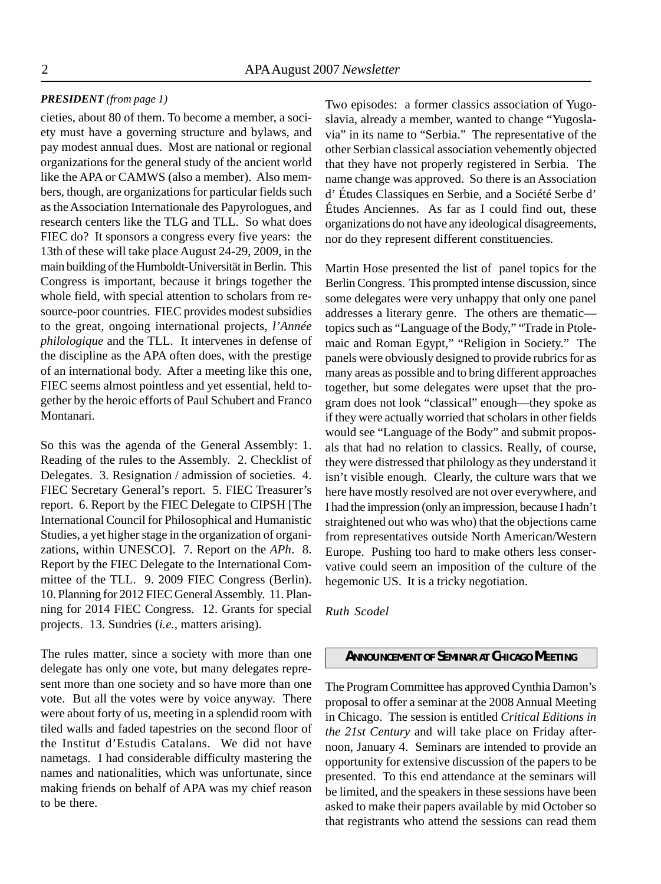#### *PRESIDENT (from page 1)*

cieties, about 80 of them. To become a member, a society must have a governing structure and bylaws, and pay modest annual dues. Most are national or regional organizations for the general study of the ancient world like the APA or CAMWS (also a member). Also members, though, are organizations for particular fields such as the Association Internationale des Papyrologues, and research centers like the TLG and TLL. So what does FIEC do? It sponsors a congress every five years: the 13th of these will take place August 24-29, 2009, in the main building of the Humboldt-Universität in Berlin. This Congress is important, because it brings together the whole field, with special attention to scholars from resource-poor countries. FIEC provides modest subsidies to the great, ongoing international projects, *l'Année philologique* and the TLL. It intervenes in defense of the discipline as the APA often does, with the prestige of an international body. After a meeting like this one, FIEC seems almost pointless and yet essential, held together by the heroic efforts of Paul Schubert and Franco Montanari.

So this was the agenda of the General Assembly: 1. Reading of the rules to the Assembly. 2. Checklist of Delegates. 3. Resignation / admission of societies. 4. FIEC Secretary General's report. 5. FIEC Treasurer's report. 6. Report by the FIEC Delegate to CIPSH [The International Council for Philosophical and Humanistic Studies, a yet higher stage in the organization of organizations, within UNESCO]. 7. Report on the *APh*. 8. Report by the FIEC Delegate to the International Committee of the TLL. 9. 2009 FIEC Congress (Berlin). 10. Planning for 2012 FIEC General Assembly. 11. Planning for 2014 FIEC Congress. 12. Grants for special projects. 13. Sundries (*i.e.,* matters arising).

The rules matter, since a society with more than one delegate has only one vote, but many delegates represent more than one society and so have more than one vote. But all the votes were by voice anyway. There were about forty of us, meeting in a splendid room with tiled walls and faded tapestries on the second floor of the Institut d'Estudis Catalans. We did not have nametags. I had considerable difficulty mastering the names and nationalities, which was unfortunate, since making friends on behalf of APA was my chief reason to be there.

Two episodes: a former classics association of Yugoslavia, already a member, wanted to change "Yugoslavia" in its name to "Serbia." The representative of the other Serbian classical association vehemently objected that they have not properly registered in Serbia. The name change was approved. So there is an Association d' Études Classiques en Serbie, and a Société Serbe d' Études Anciennes. As far as I could find out, these organizations do not have any ideological disagreements, nor do they represent different constituencies.

Martin Hose presented the list of panel topics for the Berlin Congress. This prompted intense discussion, since some delegates were very unhappy that only one panel addresses a literary genre. The others are thematic topics such as "Language of the Body," "Trade in Ptolemaic and Roman Egypt," "Religion in Society." The panels were obviously designed to provide rubrics for as many areas as possible and to bring different approaches together, but some delegates were upset that the program does not look "classical" enough—they spoke as if they were actually worried that scholars in other fields would see "Language of the Body" and submit proposals that had no relation to classics. Really, of course, they were distressed that philology as they understand it isn't visible enough. Clearly, the culture wars that we here have mostly resolved are not over everywhere, and I had the impression (only an impression, because I hadn't straightened out who was who) that the objections came from representatives outside North American/Western Europe. Pushing too hard to make others less conservative could seem an imposition of the culture of the hegemonic US. It is a tricky negotiation.

*Ruth Scodel*

#### *ANNOUNCEMENT OF SEMINAR AT CHICAGO MEETING*

The Program Committee has approved Cynthia Damon's proposal to offer a seminar at the 2008 Annual Meeting in Chicago. The session is entitled *Critical Editions in the 21st Century* and will take place on Friday afternoon, January 4. Seminars are intended to provide an opportunity for extensive discussion of the papers to be presented. To this end attendance at the seminars will be limited, and the speakers in these sessions have been asked to make their papers available by mid October so that registrants who attend the sessions can read them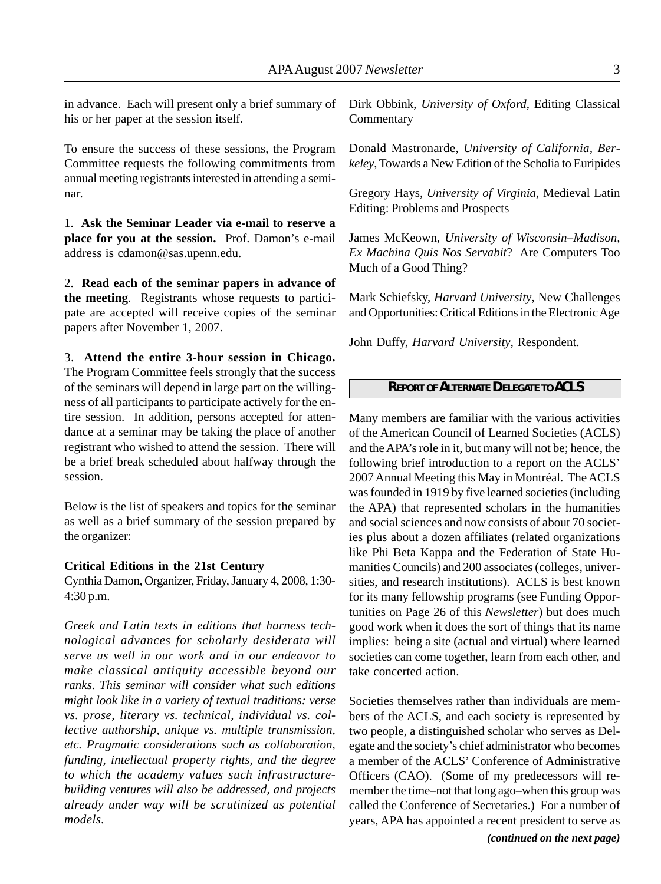in advance. Each will present only a brief summary of his or her paper at the session itself.

To ensure the success of these sessions, the Program Committee requests the following commitments from annual meeting registrants interested in attending a seminar.

1. **Ask the Seminar Leader via e-mail to reserve a place for you at the session.** Prof. Damon's e-mail address is cdamon@sas.upenn.edu.

2. **Read each of the seminar papers in advance of the meeting***.* Registrants whose requests to participate are accepted will receive copies of the seminar papers after November 1, 2007.

3. **Attend the entire 3-hour session in Chicago.**

The Program Committee feels strongly that the success of the seminars will depend in large part on the willingness of all participants to participate actively for the entire session. In addition, persons accepted for attendance at a seminar may be taking the place of another registrant who wished to attend the session. There will be a brief break scheduled about halfway through the session.

Below is the list of speakers and topics for the seminar as well as a brief summary of the session prepared by the organizer:

#### **Critical Editions in the 21st Century**

Cynthia Damon, Organizer, Friday, January 4, 2008, 1:30- 4:30 p.m.

*Greek and Latin texts in editions that harness technological advances for scholarly desiderata will serve us well in our work and in our endeavor to make classical antiquity accessible beyond our ranks. This seminar will consider what such editions might look like in a variety of textual traditions: verse vs. prose, literary vs. technical, individual vs. collective authorship, unique vs. multiple transmission, etc. Pragmatic considerations such as collaboration, funding, intellectual property rights, and the degree to which the academy values such infrastructurebuilding ventures will also be addressed, and projects already under way will be scrutinized as potential models.*

Dirk Obbink, *University of Oxford*, Editing Classical **Commentary** 

Donald Mastronarde, *University of California, Berkeley*, Towards a New Edition of the Scholia to Euripides

Gregory Hays, *University of Virginia*, Medieval Latin Editing: Problems and Prospects

James McKeown, *University of Wisconsin–Madison, Ex Machina Quis Nos Servabit*? Are Computers Too Much of a Good Thing?

Mark Schiefsky, *Harvard University*, New Challenges and Opportunities: Critical Editions in the Electronic Age

John Duffy, *Harvard University*, Respondent.

#### *REPORT OF ALTERNATE DELEGATE TO ACLS*

Many members are familiar with the various activities of the American Council of Learned Societies (ACLS) and the APA's role in it, but many will not be; hence, the following brief introduction to a report on the ACLS' 2007 Annual Meeting this May in Montréal. The ACLS was founded in 1919 by five learned societies (including the APA) that represented scholars in the humanities and social sciences and now consists of about 70 societies plus about a dozen affiliates (related organizations like Phi Beta Kappa and the Federation of State Humanities Councils) and 200 associates (colleges, universities, and research institutions). ACLS is best known for its many fellowship programs (see Funding Opportunities on Page 26 of this *Newsletter*) but does much good work when it does the sort of things that its name implies: being a site (actual and virtual) where learned societies can come together, learn from each other, and take concerted action.

Societies themselves rather than individuals are members of the ACLS, and each society is represented by two people, a distinguished scholar who serves as Delegate and the society's chief administrator who becomes a member of the ACLS' Conference of Administrative Officers (CAO). (Some of my predecessors will remember the time–not that long ago–when this group was called the Conference of Secretaries.) For a number of years, APA has appointed a recent president to serve as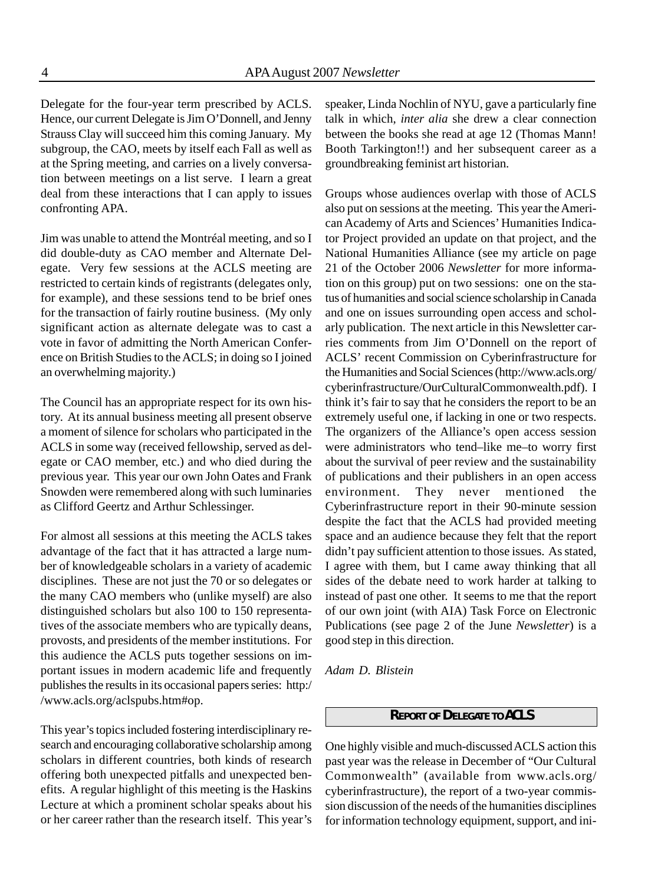Delegate for the four-year term prescribed by ACLS. Hence, our current Delegate is Jim O'Donnell, and Jenny Strauss Clay will succeed him this coming January. My subgroup, the CAO, meets by itself each Fall as well as at the Spring meeting, and carries on a lively conversation between meetings on a list serve. I learn a great deal from these interactions that I can apply to issues confronting APA.

Jim was unable to attend the Montréal meeting, and so I did double-duty as CAO member and Alternate Delegate. Very few sessions at the ACLS meeting are restricted to certain kinds of registrants (delegates only, for example), and these sessions tend to be brief ones for the transaction of fairly routine business. (My only significant action as alternate delegate was to cast a vote in favor of admitting the North American Conference on British Studies to the ACLS; in doing so I joined an overwhelming majority.)

The Council has an appropriate respect for its own history. At its annual business meeting all present observe a moment of silence for scholars who participated in the ACLS in some way (received fellowship, served as delegate or CAO member, etc.) and who died during the previous year. This year our own John Oates and Frank Snowden were remembered along with such luminaries as Clifford Geertz and Arthur Schlessinger.

For almost all sessions at this meeting the ACLS takes advantage of the fact that it has attracted a large number of knowledgeable scholars in a variety of academic disciplines. These are not just the 70 or so delegates or the many CAO members who (unlike myself) are also distinguished scholars but also 100 to 150 representatives of the associate members who are typically deans, provosts, and presidents of the member institutions. For this audience the ACLS puts together sessions on important issues in modern academic life and frequently publishes the results in its occasional papers series: http:/ /www.acls.org/aclspubs.htm#op.

This year's topics included fostering interdisciplinary research and encouraging collaborative scholarship among scholars in different countries, both kinds of research offering both unexpected pitfalls and unexpected benefits. A regular highlight of this meeting is the Haskins Lecture at which a prominent scholar speaks about his or her career rather than the research itself. This year's

speaker, Linda Nochlin of NYU, gave a particularly fine talk in which, *inter alia* she drew a clear connection between the books she read at age 12 (Thomas Mann! Booth Tarkington!!) and her subsequent career as a groundbreaking feminist art historian.

Groups whose audiences overlap with those of ACLS also put on sessions at the meeting. This year the American Academy of Arts and Sciences' Humanities Indicator Project provided an update on that project, and the National Humanities Alliance (see my article on page 21 of the October 2006 *Newsletter* for more information on this group) put on two sessions: one on the status of humanities and social science scholarship in Canada and one on issues surrounding open access and scholarly publication. The next article in this Newsletter carries comments from Jim O'Donnell on the report of ACLS' recent Commission on Cyberinfrastructure for the Humanities and Social Sciences (http://www.acls.org/ cyberinfrastructure/OurCulturalCommonwealth.pdf). I think it's fair to say that he considers the report to be an extremely useful one, if lacking in one or two respects. The organizers of the Alliance's open access session were administrators who tend–like me–to worry first about the survival of peer review and the sustainability of publications and their publishers in an open access environment. They never mentioned the Cyberinfrastructure report in their 90-minute session despite the fact that the ACLS had provided meeting space and an audience because they felt that the report didn't pay sufficient attention to those issues. As stated, I agree with them, but I came away thinking that all sides of the debate need to work harder at talking to instead of past one other. It seems to me that the report of our own joint (with AIA) Task Force on Electronic Publications (see page 2 of the June *Newsletter*) is a good step in this direction.

*Adam D. Blistein*

#### *REPORT OF DELEGATE TO ACLS*

One highly visible and much-discussed ACLS action this past year was the release in December of "Our Cultural Commonwealth" (available from www.acls.org/ cyberinfrastructure), the report of a two-year commission discussion of the needs of the humanities disciplines for information technology equipment, support, and ini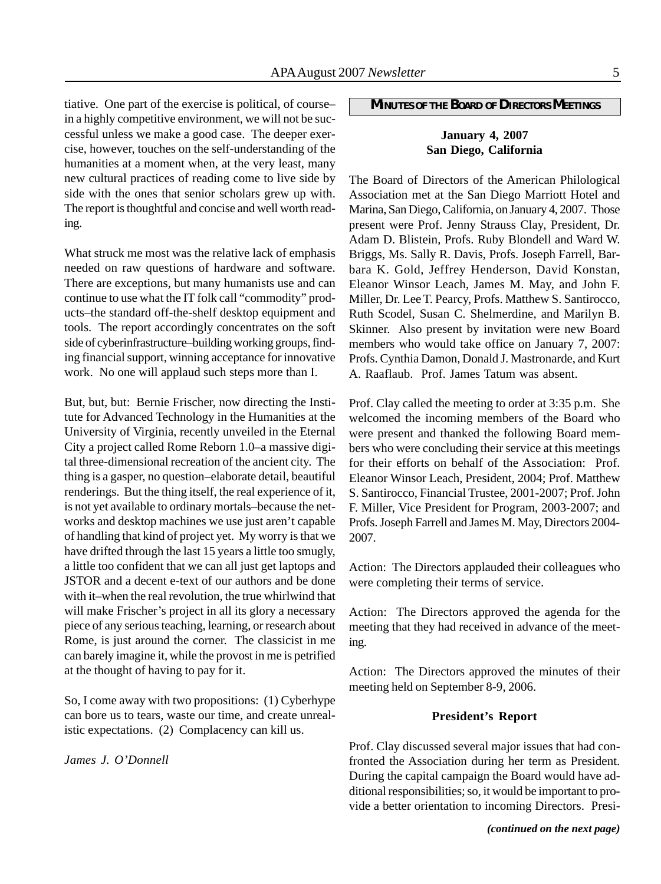tiative. One part of the exercise is political, of course– in a highly competitive environment, we will not be successful unless we make a good case. The deeper exercise, however, touches on the self-understanding of the humanities at a moment when, at the very least, many new cultural practices of reading come to live side by side with the ones that senior scholars grew up with. The report is thoughtful and concise and well worth reading.

What struck me most was the relative lack of emphasis needed on raw questions of hardware and software. There are exceptions, but many humanists use and can continue to use what the IT folk call "commodity" products–the standard off-the-shelf desktop equipment and tools. The report accordingly concentrates on the soft side of cyberinfrastructure–building working groups, finding financial support, winning acceptance for innovative work. No one will applaud such steps more than I.

But, but, but: Bernie Frischer, now directing the Institute for Advanced Technology in the Humanities at the University of Virginia, recently unveiled in the Eternal City a project called Rome Reborn 1.0–a massive digital three-dimensional recreation of the ancient city. The thing is a gasper, no question–elaborate detail, beautiful renderings. But the thing itself, the real experience of it, is not yet available to ordinary mortals–because the networks and desktop machines we use just aren't capable of handling that kind of project yet. My worry is that we have drifted through the last 15 years a little too smugly, a little too confident that we can all just get laptops and JSTOR and a decent e-text of our authors and be done with it–when the real revolution, the true whirlwind that will make Frischer's project in all its glory a necessary piece of any serious teaching, learning, or research about Rome, is just around the corner. The classicist in me can barely imagine it, while the provost in me is petrified at the thought of having to pay for it.

So, I come away with two propositions: (1) Cyberhype can bore us to tears, waste our time, and create unrealistic expectations. (2) Complacency can kill us.

*James J. O'Donnell*

#### *MINUTES OF THE BOARD OF DIRECTORS MEETINGS*

#### **January 4, 2007 San Diego, California**

The Board of Directors of the American Philological Association met at the San Diego Marriott Hotel and Marina, San Diego, California, on January 4, 2007. Those present were Prof. Jenny Strauss Clay, President, Dr. Adam D. Blistein, Profs. Ruby Blondell and Ward W. Briggs, Ms. Sally R. Davis, Profs. Joseph Farrell, Barbara K. Gold, Jeffrey Henderson, David Konstan, Eleanor Winsor Leach, James M. May, and John F. Miller, Dr. Lee T. Pearcy, Profs. Matthew S. Santirocco, Ruth Scodel, Susan C. Shelmerdine, and Marilyn B. Skinner. Also present by invitation were new Board members who would take office on January 7, 2007: Profs. Cynthia Damon, Donald J. Mastronarde, and Kurt A. Raaflaub. Prof. James Tatum was absent.

Prof. Clay called the meeting to order at 3:35 p.m. She welcomed the incoming members of the Board who were present and thanked the following Board members who were concluding their service at this meetings for their efforts on behalf of the Association: Prof. Eleanor Winsor Leach, President, 2004; Prof. Matthew S. Santirocco, Financial Trustee, 2001-2007; Prof. John F. Miller, Vice President for Program, 2003-2007; and Profs. Joseph Farrell and James M. May, Directors 2004- 2007.

Action: The Directors applauded their colleagues who were completing their terms of service.

Action: The Directors approved the agenda for the meeting that they had received in advance of the meeting.

Action: The Directors approved the minutes of their meeting held on September 8-9, 2006.

#### **President's Report**

Prof. Clay discussed several major issues that had confronted the Association during her term as President. During the capital campaign the Board would have additional responsibilities; so, it would be important to provide a better orientation to incoming Directors. Presi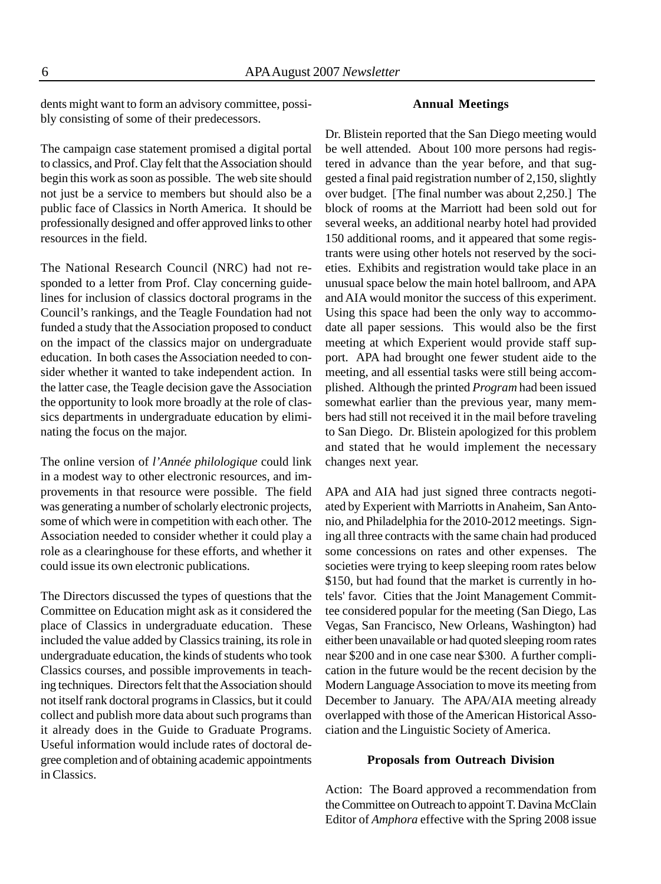dents might want to form an advisory committee, possibly consisting of some of their predecessors.

The campaign case statement promised a digital portal to classics, and Prof. Clay felt that the Association should begin this work as soon as possible. The web site should not just be a service to members but should also be a public face of Classics in North America. It should be professionally designed and offer approved links to other resources in the field.

The National Research Council (NRC) had not responded to a letter from Prof. Clay concerning guidelines for inclusion of classics doctoral programs in the Council's rankings, and the Teagle Foundation had not funded a study that the Association proposed to conduct on the impact of the classics major on undergraduate education. In both cases the Association needed to consider whether it wanted to take independent action. In the latter case, the Teagle decision gave the Association the opportunity to look more broadly at the role of classics departments in undergraduate education by eliminating the focus on the major.

The online version of *l'Année philologique* could link in a modest way to other electronic resources, and improvements in that resource were possible. The field was generating a number of scholarly electronic projects, some of which were in competition with each other. The Association needed to consider whether it could play a role as a clearinghouse for these efforts, and whether it could issue its own electronic publications.

The Directors discussed the types of questions that the Committee on Education might ask as it considered the place of Classics in undergraduate education. These included the value added by Classics training, its role in undergraduate education, the kinds of students who took Classics courses, and possible improvements in teaching techniques. Directors felt that the Association should not itself rank doctoral programs in Classics, but it could collect and publish more data about such programs than it already does in the Guide to Graduate Programs. Useful information would include rates of doctoral degree completion and of obtaining academic appointments in Classics.

#### **Annual Meetings**

Dr. Blistein reported that the San Diego meeting would be well attended. About 100 more persons had registered in advance than the year before, and that suggested a final paid registration number of 2,150, slightly over budget. [The final number was about 2,250.] The block of rooms at the Marriott had been sold out for several weeks, an additional nearby hotel had provided 150 additional rooms, and it appeared that some registrants were using other hotels not reserved by the societies. Exhibits and registration would take place in an unusual space below the main hotel ballroom, and APA and AIA would monitor the success of this experiment. Using this space had been the only way to accommodate all paper sessions. This would also be the first meeting at which Experient would provide staff support. APA had brought one fewer student aide to the meeting, and all essential tasks were still being accomplished. Although the printed *Program* had been issued somewhat earlier than the previous year, many members had still not received it in the mail before traveling to San Diego. Dr. Blistein apologized for this problem and stated that he would implement the necessary changes next year.

APA and AIA had just signed three contracts negotiated by Experient with Marriotts in Anaheim, San Antonio, and Philadelphia for the 2010-2012 meetings. Signing all three contracts with the same chain had produced some concessions on rates and other expenses. The societies were trying to keep sleeping room rates below \$150, but had found that the market is currently in hotels' favor. Cities that the Joint Management Committee considered popular for the meeting (San Diego, Las Vegas, San Francisco, New Orleans, Washington) had either been unavailable or had quoted sleeping room rates near \$200 and in one case near \$300. A further complication in the future would be the recent decision by the Modern Language Association to move its meeting from December to January. The APA/AIA meeting already overlapped with those of the American Historical Association and the Linguistic Society of America.

#### **Proposals from Outreach Division**

Action: The Board approved a recommendation from the Committee on Outreach to appoint T. Davina McClain Editor of *Amphora* effective with the Spring 2008 issue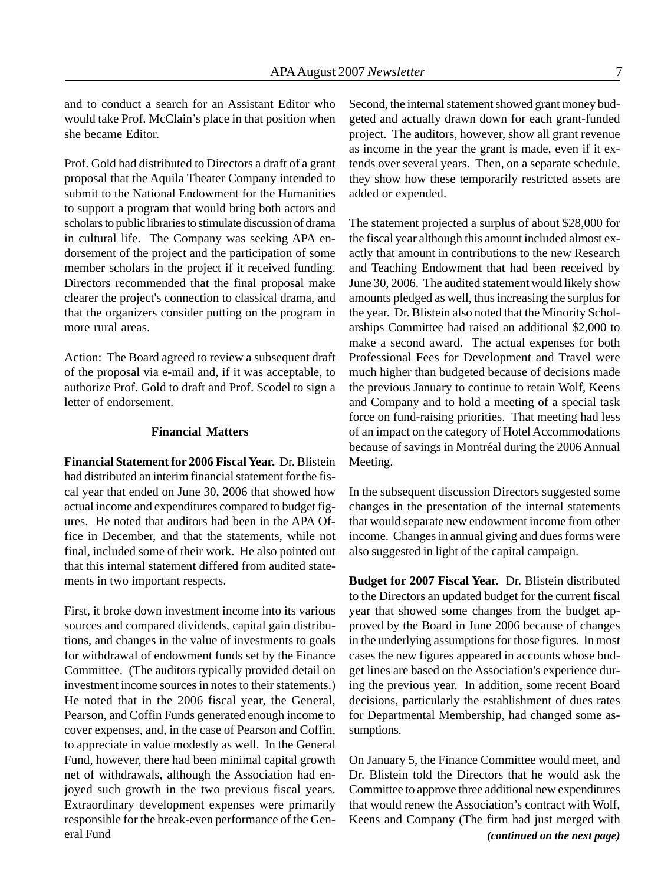and to conduct a search for an Assistant Editor who would take Prof. McClain's place in that position when she became Editor.

Prof. Gold had distributed to Directors a draft of a grant proposal that the Aquila Theater Company intended to submit to the National Endowment for the Humanities to support a program that would bring both actors and scholars to public libraries to stimulate discussion of drama in cultural life. The Company was seeking APA endorsement of the project and the participation of some member scholars in the project if it received funding. Directors recommended that the final proposal make clearer the project's connection to classical drama, and that the organizers consider putting on the program in more rural areas.

Action: The Board agreed to review a subsequent draft of the proposal via e-mail and, if it was acceptable, to authorize Prof. Gold to draft and Prof. Scodel to sign a letter of endorsement.

#### **Financial Matters**

**Financial Statement for 2006 Fiscal Year.** Dr. Blistein had distributed an interim financial statement for the fiscal year that ended on June 30, 2006 that showed how actual income and expenditures compared to budget figures. He noted that auditors had been in the APA Office in December, and that the statements, while not final, included some of their work. He also pointed out that this internal statement differed from audited statements in two important respects.

First, it broke down investment income into its various sources and compared dividends, capital gain distributions, and changes in the value of investments to goals for withdrawal of endowment funds set by the Finance Committee. (The auditors typically provided detail on investment income sources in notes to their statements.) He noted that in the 2006 fiscal year, the General, Pearson, and Coffin Funds generated enough income to cover expenses, and, in the case of Pearson and Coffin, to appreciate in value modestly as well. In the General Fund, however, there had been minimal capital growth net of withdrawals, although the Association had enjoyed such growth in the two previous fiscal years. Extraordinary development expenses were primarily responsible for the break-even performance of the General Fund

Second, the internal statement showed grant money budgeted and actually drawn down for each grant-funded project. The auditors, however, show all grant revenue as income in the year the grant is made, even if it extends over several years. Then, on a separate schedule, they show how these temporarily restricted assets are added or expended.

The statement projected a surplus of about \$28,000 for the fiscal year although this amount included almost exactly that amount in contributions to the new Research and Teaching Endowment that had been received by June 30, 2006. The audited statement would likely show amounts pledged as well, thus increasing the surplus for the year. Dr. Blistein also noted that the Minority Scholarships Committee had raised an additional \$2,000 to make a second award. The actual expenses for both Professional Fees for Development and Travel were much higher than budgeted because of decisions made the previous January to continue to retain Wolf, Keens and Company and to hold a meeting of a special task force on fund-raising priorities. That meeting had less of an impact on the category of Hotel Accommodations because of savings in Montréal during the 2006 Annual Meeting.

In the subsequent discussion Directors suggested some changes in the presentation of the internal statements that would separate new endowment income from other income. Changes in annual giving and dues forms were also suggested in light of the capital campaign.

**Budget for 2007 Fiscal Year.** Dr. Blistein distributed to the Directors an updated budget for the current fiscal year that showed some changes from the budget approved by the Board in June 2006 because of changes in the underlying assumptions for those figures. In most cases the new figures appeared in accounts whose budget lines are based on the Association's experience during the previous year. In addition, some recent Board decisions, particularly the establishment of dues rates for Departmental Membership, had changed some assumptions.

On January 5, the Finance Committee would meet, and Dr. Blistein told the Directors that he would ask the Committee to approve three additional new expenditures that would renew the Association's contract with Wolf, Keens and Company (The firm had just merged with *(continued on the next page)*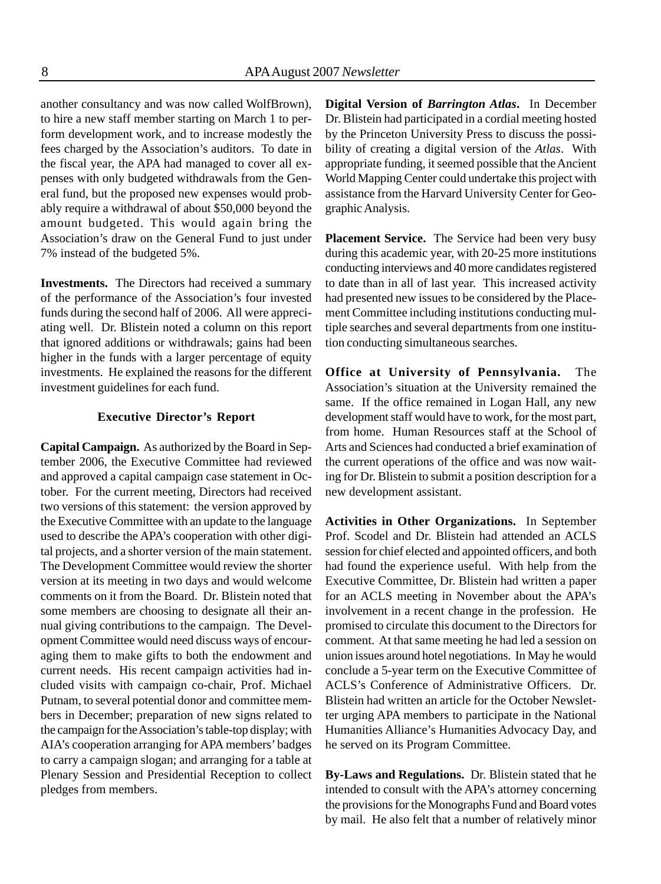another consultancy and was now called WolfBrown), to hire a new staff member starting on March 1 to perform development work, and to increase modestly the fees charged by the Association's auditors. To date in the fiscal year, the APA had managed to cover all expenses with only budgeted withdrawals from the General fund, but the proposed new expenses would probably require a withdrawal of about \$50,000 beyond the amount budgeted. This would again bring the Association's draw on the General Fund to just under 7% instead of the budgeted 5%.

**Investments.** The Directors had received a summary of the performance of the Association's four invested funds during the second half of 2006. All were appreciating well. Dr. Blistein noted a column on this report that ignored additions or withdrawals; gains had been higher in the funds with a larger percentage of equity investments. He explained the reasons for the different investment guidelines for each fund.

#### **Executive Director's Report**

**Capital Campaign.** As authorized by the Board in September 2006, the Executive Committee had reviewed and approved a capital campaign case statement in October. For the current meeting, Directors had received two versions of this statement: the version approved by the Executive Committee with an update to the language used to describe the APA's cooperation with other digital projects, and a shorter version of the main statement. The Development Committee would review the shorter version at its meeting in two days and would welcome comments on it from the Board. Dr. Blistein noted that some members are choosing to designate all their annual giving contributions to the campaign. The Development Committee would need discuss ways of encouraging them to make gifts to both the endowment and current needs. His recent campaign activities had included visits with campaign co-chair, Prof. Michael Putnam, to several potential donor and committee members in December; preparation of new signs related to the campaign for the Association's table-top display; with AIA's cooperation arranging for APA members' badges to carry a campaign slogan; and arranging for a table at Plenary Session and Presidential Reception to collect pledges from members.

**Digital Version of** *Barrington Atlas***.** In December Dr. Blistein had participated in a cordial meeting hosted by the Princeton University Press to discuss the possibility of creating a digital version of the *Atlas*. With appropriate funding, it seemed possible that the Ancient World Mapping Center could undertake this project with assistance from the Harvard University Center for Geographic Analysis.

**Placement Service.** The Service had been very busy during this academic year, with 20-25 more institutions conducting interviews and 40 more candidates registered to date than in all of last year. This increased activity had presented new issues to be considered by the Placement Committee including institutions conducting multiple searches and several departments from one institution conducting simultaneous searches.

**Office at University of Pennsylvania.** The Association's situation at the University remained the same. If the office remained in Logan Hall, any new development staff would have to work, for the most part, from home. Human Resources staff at the School of Arts and Sciences had conducted a brief examination of the current operations of the office and was now waiting for Dr. Blistein to submit a position description for a new development assistant.

**Activities in Other Organizations.** In September Prof. Scodel and Dr. Blistein had attended an ACLS session for chief elected and appointed officers, and both had found the experience useful. With help from the Executive Committee, Dr. Blistein had written a paper for an ACLS meeting in November about the APA's involvement in a recent change in the profession. He promised to circulate this document to the Directors for comment. At that same meeting he had led a session on union issues around hotel negotiations. In May he would conclude a 5-year term on the Executive Committee of ACLS's Conference of Administrative Officers. Dr. Blistein had written an article for the October Newsletter urging APA members to participate in the National Humanities Alliance's Humanities Advocacy Day, and he served on its Program Committee.

**By-Laws and Regulations.** Dr. Blistein stated that he intended to consult with the APA's attorney concerning the provisions for the Monographs Fund and Board votes by mail. He also felt that a number of relatively minor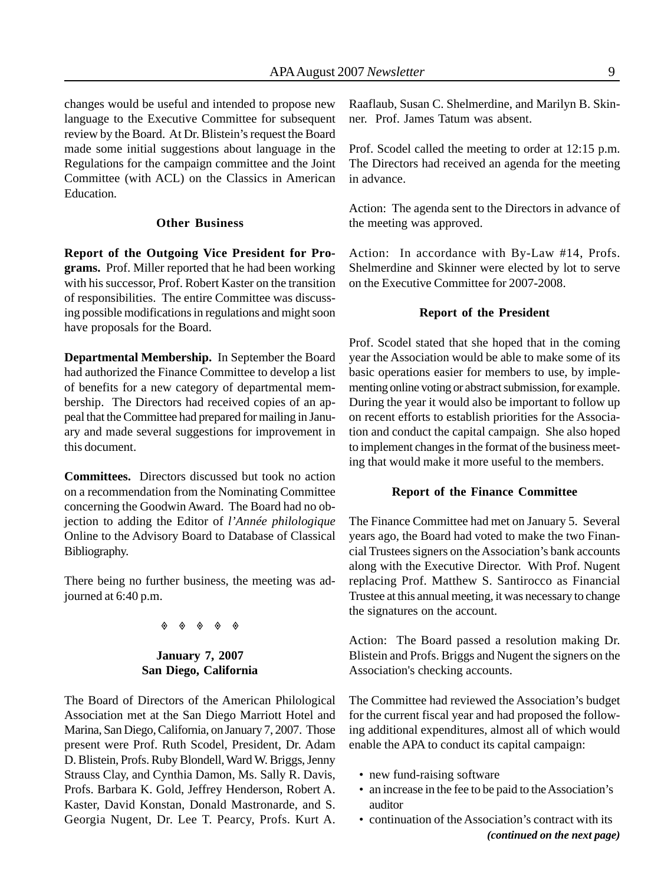changes would be useful and intended to propose new language to the Executive Committee for subsequent review by the Board. At Dr. Blistein's request the Board made some initial suggestions about language in the Regulations for the campaign committee and the Joint Committee (with ACL) on the Classics in American Education.

#### **Other Business**

**Report of the Outgoing Vice President for Programs.** Prof. Miller reported that he had been working with his successor, Prof. Robert Kaster on the transition of responsibilities. The entire Committee was discussing possible modifications in regulations and might soon have proposals for the Board.

**Departmental Membership.** In September the Board had authorized the Finance Committee to develop a list of benefits for a new category of departmental membership. The Directors had received copies of an appeal that the Committee had prepared for mailing in January and made several suggestions for improvement in this document.

**Committees.** Directors discussed but took no action on a recommendation from the Nominating Committee concerning the Goodwin Award. The Board had no objection to adding the Editor of *l'Année philologique* Online to the Advisory Board to Database of Classical Bibliography.

There being no further business, the meeting was adjourned at 6:40 p.m.

#### $\begin{array}{ccccccc}\n\bullet & \bullet & \bullet & \bullet & \bullet & \bullet\n\end{array}$

#### **January 7, 2007 San Diego, California**

The Board of Directors of the American Philological Association met at the San Diego Marriott Hotel and Marina, San Diego, California, on January 7, 2007. Those present were Prof. Ruth Scodel, President, Dr. Adam D. Blistein, Profs. Ruby Blondell, Ward W. Briggs, Jenny Strauss Clay, and Cynthia Damon, Ms. Sally R. Davis, Profs. Barbara K. Gold, Jeffrey Henderson, Robert A. Kaster, David Konstan, Donald Mastronarde, and S. Georgia Nugent, Dr. Lee T. Pearcy, Profs. Kurt A.

Raaflaub, Susan C. Shelmerdine, and Marilyn B. Skinner. Prof. James Tatum was absent.

Prof. Scodel called the meeting to order at 12:15 p.m. The Directors had received an agenda for the meeting in advance.

Action: The agenda sent to the Directors in advance of the meeting was approved.

Action: In accordance with By-Law #14, Profs. Shelmerdine and Skinner were elected by lot to serve on the Executive Committee for 2007-2008.

#### **Report of the President**

Prof. Scodel stated that she hoped that in the coming year the Association would be able to make some of its basic operations easier for members to use, by implementing online voting or abstract submission, for example. During the year it would also be important to follow up on recent efforts to establish priorities for the Association and conduct the capital campaign. She also hoped to implement changes in the format of the business meeting that would make it more useful to the members.

#### **Report of the Finance Committee**

The Finance Committee had met on January 5. Several years ago, the Board had voted to make the two Financial Trustees signers on the Association's bank accounts along with the Executive Director. With Prof. Nugent replacing Prof. Matthew S. Santirocco as Financial Trustee at this annual meeting, it was necessary to change the signatures on the account.

Action: The Board passed a resolution making Dr. Blistein and Profs. Briggs and Nugent the signers on the Association's checking accounts.

The Committee had reviewed the Association's budget for the current fiscal year and had proposed the following additional expenditures, almost all of which would enable the APA to conduct its capital campaign:

- new fund-raising software
- an increase in the fee to be paid to the Association's auditor
- continuation of the Association's contract with its *(continued on the next page)*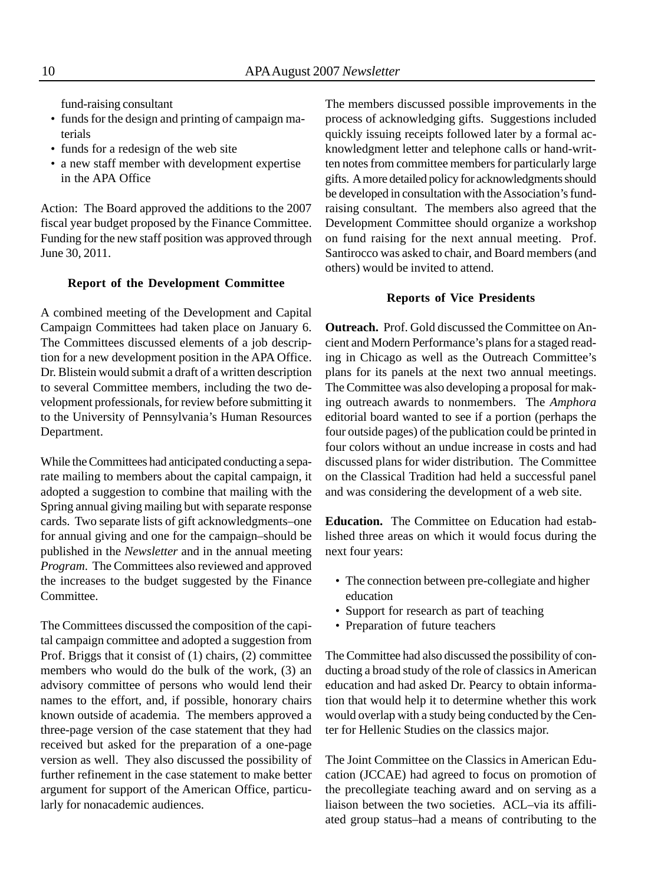fund-raising consultant

- funds for the design and printing of campaign materials
- funds for a redesign of the web site
- a new staff member with development expertise in the APA Office

Action: The Board approved the additions to the 2007 fiscal year budget proposed by the Finance Committee. Funding for the new staff position was approved through June 30, 2011.

#### **Report of the Development Committee**

A combined meeting of the Development and Capital Campaign Committees had taken place on January 6. The Committees discussed elements of a job description for a new development position in the APA Office. Dr. Blistein would submit a draft of a written description to several Committee members, including the two development professionals, for review before submitting it to the University of Pennsylvania's Human Resources Department.

While the Committees had anticipated conducting a separate mailing to members about the capital campaign, it adopted a suggestion to combine that mailing with the Spring annual giving mailing but with separate response cards. Two separate lists of gift acknowledgments–one for annual giving and one for the campaign–should be published in the *Newsletter* and in the annual meeting *Program*. The Committees also reviewed and approved the increases to the budget suggested by the Finance Committee.

The Committees discussed the composition of the capital campaign committee and adopted a suggestion from Prof. Briggs that it consist of (1) chairs, (2) committee members who would do the bulk of the work, (3) an advisory committee of persons who would lend their names to the effort, and, if possible, honorary chairs known outside of academia. The members approved a three-page version of the case statement that they had received but asked for the preparation of a one-page version as well. They also discussed the possibility of further refinement in the case statement to make better argument for support of the American Office, particularly for nonacademic audiences.

The members discussed possible improvements in the process of acknowledging gifts. Suggestions included quickly issuing receipts followed later by a formal acknowledgment letter and telephone calls or hand-written notes from committee members for particularly large gifts. A more detailed policy for acknowledgments should be developed in consultation with the Association's fundraising consultant. The members also agreed that the Development Committee should organize a workshop on fund raising for the next annual meeting. Prof. Santirocco was asked to chair, and Board members (and others) would be invited to attend.

#### **Reports of Vice Presidents**

**Outreach.** Prof. Gold discussed the Committee on Ancient and Modern Performance's plans for a staged reading in Chicago as well as the Outreach Committee's plans for its panels at the next two annual meetings. The Committee was also developing a proposal for making outreach awards to nonmembers. The *Amphora* editorial board wanted to see if a portion (perhaps the four outside pages) of the publication could be printed in four colors without an undue increase in costs and had discussed plans for wider distribution. The Committee on the Classical Tradition had held a successful panel and was considering the development of a web site.

**Education.** The Committee on Education had established three areas on which it would focus during the next four years:

- The connection between pre-collegiate and higher education
- Support for research as part of teaching
- Preparation of future teachers

The Committee had also discussed the possibility of conducting a broad study of the role of classics in American education and had asked Dr. Pearcy to obtain information that would help it to determine whether this work would overlap with a study being conducted by the Center for Hellenic Studies on the classics major.

The Joint Committee on the Classics in American Education (JCCAE) had agreed to focus on promotion of the precollegiate teaching award and on serving as a liaison between the two societies. ACL–via its affiliated group status–had a means of contributing to the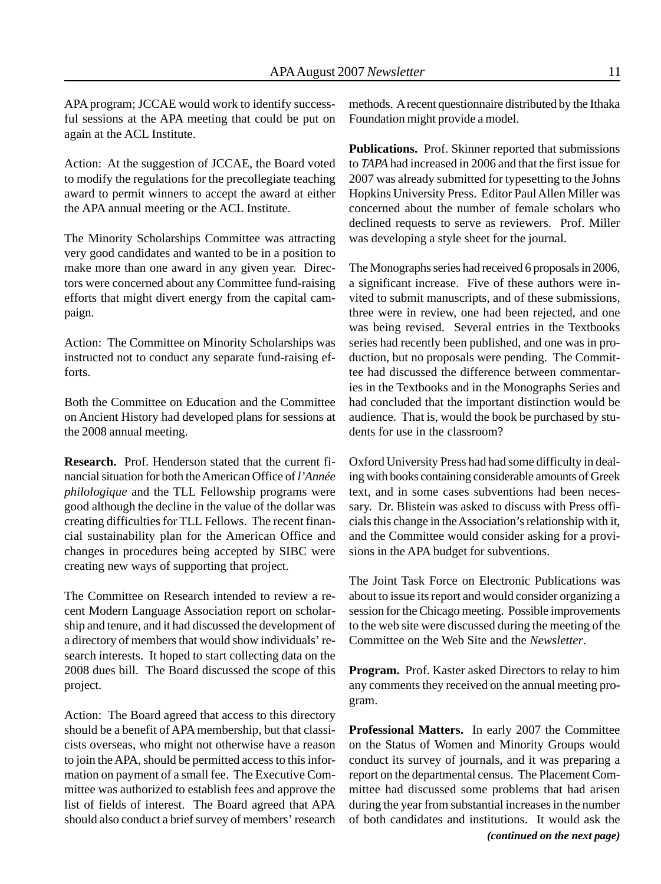APA program; JCCAE would work to identify successful sessions at the APA meeting that could be put on again at the ACL Institute.

Action: At the suggestion of JCCAE, the Board voted to modify the regulations for the precollegiate teaching award to permit winners to accept the award at either the APA annual meeting or the ACL Institute.

The Minority Scholarships Committee was attracting very good candidates and wanted to be in a position to make more than one award in any given year. Directors were concerned about any Committee fund-raising efforts that might divert energy from the capital campaign.

Action: The Committee on Minority Scholarships was instructed not to conduct any separate fund-raising efforts.

Both the Committee on Education and the Committee on Ancient History had developed plans for sessions at the 2008 annual meeting.

**Research.** Prof. Henderson stated that the current financial situation for both the American Office of *l'Année philologique* and the TLL Fellowship programs were good although the decline in the value of the dollar was creating difficulties for TLL Fellows. The recent financial sustainability plan for the American Office and changes in procedures being accepted by SIBC were creating new ways of supporting that project.

The Committee on Research intended to review a recent Modern Language Association report on scholarship and tenure, and it had discussed the development of a directory of members that would show individuals' research interests. It hoped to start collecting data on the 2008 dues bill. The Board discussed the scope of this project.

Action: The Board agreed that access to this directory should be a benefit of APA membership, but that classicists overseas, who might not otherwise have a reason to join the APA, should be permitted access to this information on payment of a small fee. The Executive Committee was authorized to establish fees and approve the list of fields of interest. The Board agreed that APA should also conduct a brief survey of members' research methods. A recent questionnaire distributed by the Ithaka Foundation might provide a model.

**Publications.** Prof. Skinner reported that submissions to *TAPA* had increased in 2006 and that the first issue for 2007 was already submitted for typesetting to the Johns Hopkins University Press. Editor Paul Allen Miller was concerned about the number of female scholars who declined requests to serve as reviewers. Prof. Miller was developing a style sheet for the journal.

The Monographs series had received 6 proposals in 2006, a significant increase. Five of these authors were invited to submit manuscripts, and of these submissions, three were in review, one had been rejected, and one was being revised. Several entries in the Textbooks series had recently been published, and one was in production, but no proposals were pending. The Committee had discussed the difference between commentaries in the Textbooks and in the Monographs Series and had concluded that the important distinction would be audience. That is, would the book be purchased by students for use in the classroom?

Oxford University Press had had some difficulty in dealing with books containing considerable amounts of Greek text, and in some cases subventions had been necessary. Dr. Blistein was asked to discuss with Press officials this change in the Association's relationship with it, and the Committee would consider asking for a provisions in the APA budget for subventions.

The Joint Task Force on Electronic Publications was about to issue its report and would consider organizing a session for the Chicago meeting. Possible improvements to the web site were discussed during the meeting of the Committee on the Web Site and the *Newsletter*.

**Program.** Prof. Kaster asked Directors to relay to him any comments they received on the annual meeting program.

**Professional Matters.** In early 2007 the Committee on the Status of Women and Minority Groups would conduct its survey of journals, and it was preparing a report on the departmental census. The Placement Committee had discussed some problems that had arisen during the year from substantial increases in the number of both candidates and institutions. It would ask the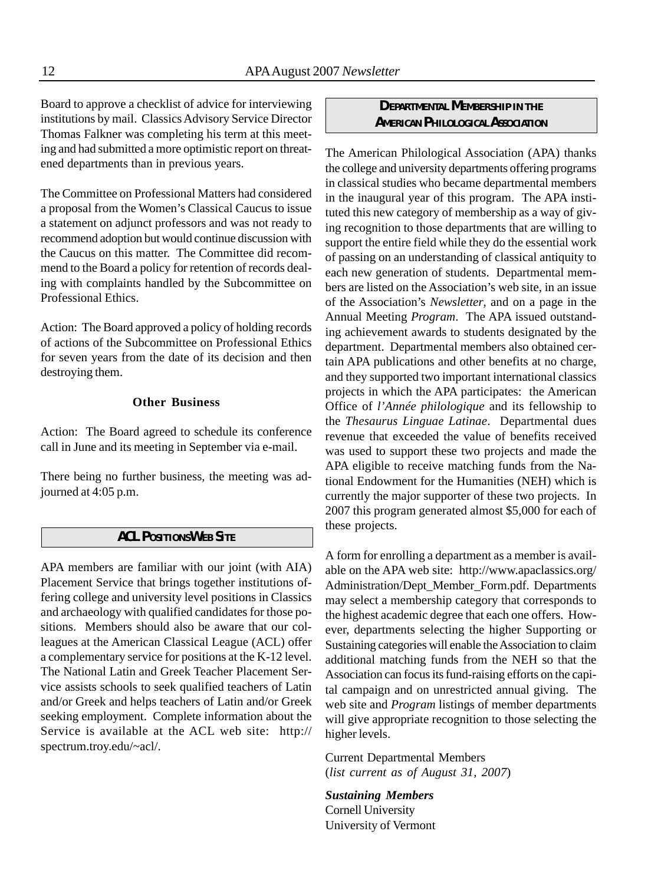Board to approve a checklist of advice for interviewing institutions by mail. Classics Advisory Service Director Thomas Falkner was completing his term at this meeting and had submitted a more optimistic report on threatened departments than in previous years.

The Committee on Professional Matters had considered a proposal from the Women's Classical Caucus to issue a statement on adjunct professors and was not ready to recommend adoption but would continue discussion with the Caucus on this matter. The Committee did recommend to the Board a policy for retention of records dealing with complaints handled by the Subcommittee on Professional Ethics.

Action: The Board approved a policy of holding records of actions of the Subcommittee on Professional Ethics for seven years from the date of its decision and then destroying them.

#### **Other Business**

Action: The Board agreed to schedule its conference call in June and its meeting in September via e-mail.

There being no further business, the meeting was adjourned at 4:05 p.m.

#### *ACL POSITIONS WEB SITE*

APA members are familiar with our joint (with AIA) Placement Service that brings together institutions offering college and university level positions in Classics and archaeology with qualified candidates for those positions. Members should also be aware that our colleagues at the American Classical League (ACL) offer a complementary service for positions at the K-12 level. The National Latin and Greek Teacher Placement Service assists schools to seek qualified teachers of Latin and/or Greek and helps teachers of Latin and/or Greek seeking employment. Complete information about the Service is available at the ACL web site: http:// spectrum.troy.edu/~acl/.

#### *DEPARTMENTAL MEMBERSHIP IN THE AMERICAN PHILOLOGICAL ASSOCIATION*

The American Philological Association (APA) thanks the college and university departments offering programs in classical studies who became departmental members in the inaugural year of this program. The APA instituted this new category of membership as a way of giving recognition to those departments that are willing to support the entire field while they do the essential work of passing on an understanding of classical antiquity to each new generation of students. Departmental members are listed on the Association's web site, in an issue of the Association's *Newsletter*, and on a page in the Annual Meeting *Program*. The APA issued outstanding achievement awards to students designated by the department. Departmental members also obtained certain APA publications and other benefits at no charge, and they supported two important international classics projects in which the APA participates: the American Office of *l'Année philologique* and its fellowship to the *Thesaurus Linguae Latinae*. Departmental dues revenue that exceeded the value of benefits received was used to support these two projects and made the APA eligible to receive matching funds from the National Endowment for the Humanities (NEH) which is currently the major supporter of these two projects. In 2007 this program generated almost \$5,000 for each of these projects.

A form for enrolling a department as a member is available on the APA web site: http://www.apaclassics.org/ Administration/Dept\_Member\_Form.pdf. Departments may select a membership category that corresponds to the highest academic degree that each one offers. However, departments selecting the higher Supporting or Sustaining categories will enable the Association to claim additional matching funds from the NEH so that the Association can focus its fund-raising efforts on the capital campaign and on unrestricted annual giving. The web site and *Program* listings of member departments will give appropriate recognition to those selecting the higher levels.

Current Departmental Members (*list current as of August 31, 2007*)

*Sustaining Members* Cornell University University of Vermont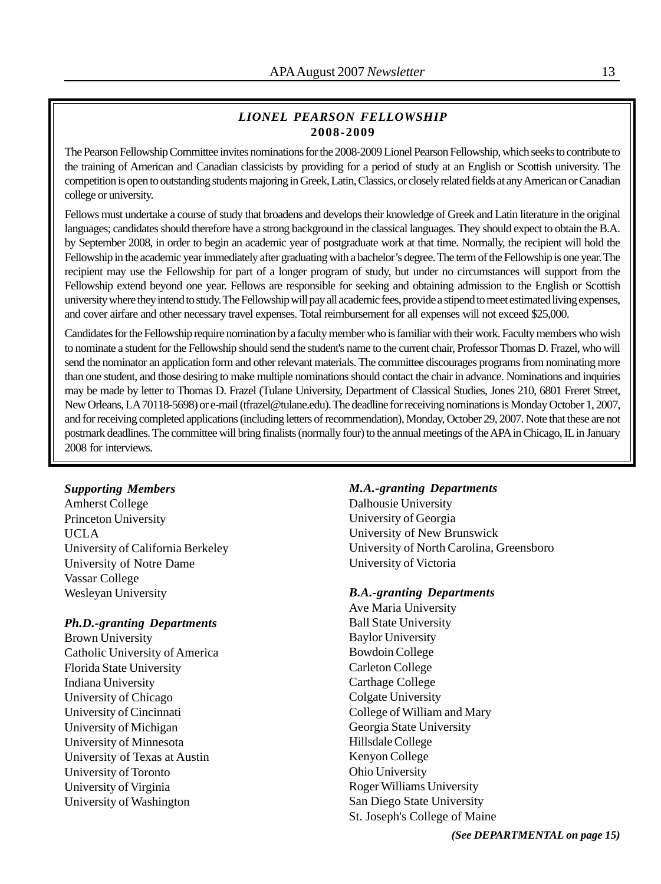#### *LIONEL PEARSON FELLOWSHIP* **2008-2009**

The Pearson Fellowship Committee invites nominations for the 2008-2009 Lionel Pearson Fellowship, which seeks to contribute to the training of American and Canadian classicists by providing for a period of study at an English or Scottish university. The competition is open to outstanding students majoring in Greek, Latin, Classics, or closely related fields at any American or Canadian college or university.

Fellows must undertake a course of study that broadens and develops their knowledge of Greek and Latin literature in the original languages; candidates should therefore have a strong background in the classical languages. They should expect to obtain the B.A. by September 2008, in order to begin an academic year of postgraduate work at that time. Normally, the recipient will hold the Fellowship in the academic year immediately after graduating with a bachelor's degree. The term of the Fellowship is one year. The recipient may use the Fellowship for part of a longer program of study, but under no circumstances will support from the Fellowship extend beyond one year. Fellows are responsible for seeking and obtaining admission to the English or Scottish university where they intend to study. The Fellowship will pay all academic fees, provide a stipend to meet estimated living expenses, and cover airfare and other necessary travel expenses. Total reimbursement for all expenses will not exceed \$25,000.

Candidates for the Fellowship require nomination by a faculty member who is familiar with their work. Faculty members who wish to nominate a student for the Fellowship should send the student's name to the current chair, Professor Thomas D. Frazel, who will send the nominator an application form and other relevant materials. The committee discourages programs from nominating more than one student, and those desiring to make multiple nominations should contact the chair in advance. Nominations and inquiries may be made by letter to Thomas D. Frazel (Tulane University, Department of Classical Studies, Jones 210, 6801 Freret Street, New Orleans, LA 70118-5698) or e-mail (tfrazel@tulane.edu). The deadline for receiving nominations is Monday October 1, 2007, and for receiving completed applications (including letters of recommendation), Monday, October 29, 2007. Note that these are not postmark deadlines. The committee will bring finalists (normally four) to the annual meetings of the APA in Chicago, IL in January 2008 for interviews.

#### *Supporting Members*

Amherst College Princeton University UCLA University of California Berkeley University of Notre Dame Vassar College Wesleyan University

#### *Ph.D.-granting Departments*

Brown University Catholic University of America Florida State University Indiana University University of Chicago University of Cincinnati University of Michigan University of Minnesota University of Texas at Austin University of Toronto University of Virginia University of Washington

#### *M.A.-granting Departments*

Dalhousie University University of Georgia University of New Brunswick University of North Carolina, Greensboro University of Victoria

#### *B.A.-granting Departments*

Ave Maria University Ball State University Baylor University Bowdoin College Carleton College Carthage College Colgate University College of William and Mary Georgia State University Hillsdale College Kenyon College Ohio University Roger Williams University San Diego State University St. Joseph's College of Maine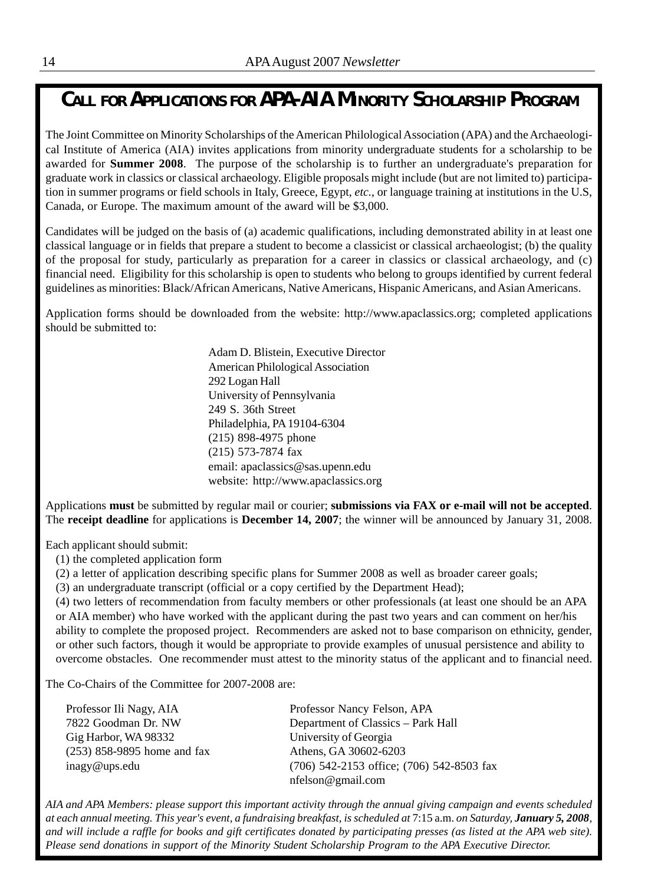## *CALL FOR APPLICATIONS FOR APA-AIA MINORITY SCHOLARSHIP PROGRAM*

The Joint Committee on Minority Scholarships of the American Philological Association (APA) and the Archaeological Institute of America (AIA) invites applications from minority undergraduate students for a scholarship to be awarded for **Summer 2008**. The purpose of the scholarship is to further an undergraduate's preparation for graduate work in classics or classical archaeology. Eligible proposals might include (but are not limited to) participation in summer programs or field schools in Italy, Greece, Egypt, *etc.*, or language training at institutions in the U.S, Canada, or Europe. The maximum amount of the award will be \$3,000.

Candidates will be judged on the basis of (a) academic qualifications, including demonstrated ability in at least one classical language or in fields that prepare a student to become a classicist or classical archaeologist; (b) the quality of the proposal for study, particularly as preparation for a career in classics or classical archaeology, and (c) financial need. Eligibility for this scholarship is open to students who belong to groups identified by current federal guidelines as minorities: Black/African Americans, Native Americans, Hispanic Americans, and Asian Americans.

Application forms should be downloaded from the website: http://www.apaclassics.org; completed applications should be submitted to:

> Adam D. Blistein, Executive Director American Philological Association 292 Logan Hall University of Pennsylvania 249 S. 36th Street Philadelphia, PA 19104-6304 (215) 898-4975 phone (215) 573-7874 fax email: apaclassics@sas.upenn.edu website: http://www.apaclassics.org

Applications **must** be submitted by regular mail or courier; **submissions via FAX or e-mail will not be accepted**. The **receipt deadline** for applications is **December 14, 2007**; the winner will be announced by January 31, 2008.

Each applicant should submit:

- (1) the completed application form
- (2) a letter of application describing specific plans for Summer 2008 as well as broader career goals;

(3) an undergraduate transcript (official or a copy certified by the Department Head);

(4) two letters of recommendation from faculty members or other professionals (at least one should be an APA or AIA member) who have worked with the applicant during the past two years and can comment on her/his ability to complete the proposed project. Recommenders are asked not to base comparison on ethnicity, gender, or other such factors, though it would be appropriate to provide examples of unusual persistence and ability to overcome obstacles. One recommender must attest to the minority status of the applicant and to financial need.

The Co-Chairs of the Committee for 2007-2008 are:

Gig Harbor, WA 98332 University of Georgia (253) 858-9895 home and fax Athens, GA 30602-6203

Professor Ili Nagy, AIA Professor Nancy Felson, APA 7822 Goodman Dr. NW Department of Classics – Park Hall inagy@ups.edu (706) 542-2153 office; (706) 542-8503 fax nfelson@gmail.com

*AIA and APA Members: please support this important activity through the annual giving campaign and events scheduled at each annual meeting. This year's event, a fundraising breakfast, is scheduled at* 7:15 a.m. *on Saturday, January 5, 2008, and will include a raffle for books and gift certificates donated by participating presses (as listed at the APA web site). Please send donations in support of the Minority Student Scholarship Program to the APA Executive Director.*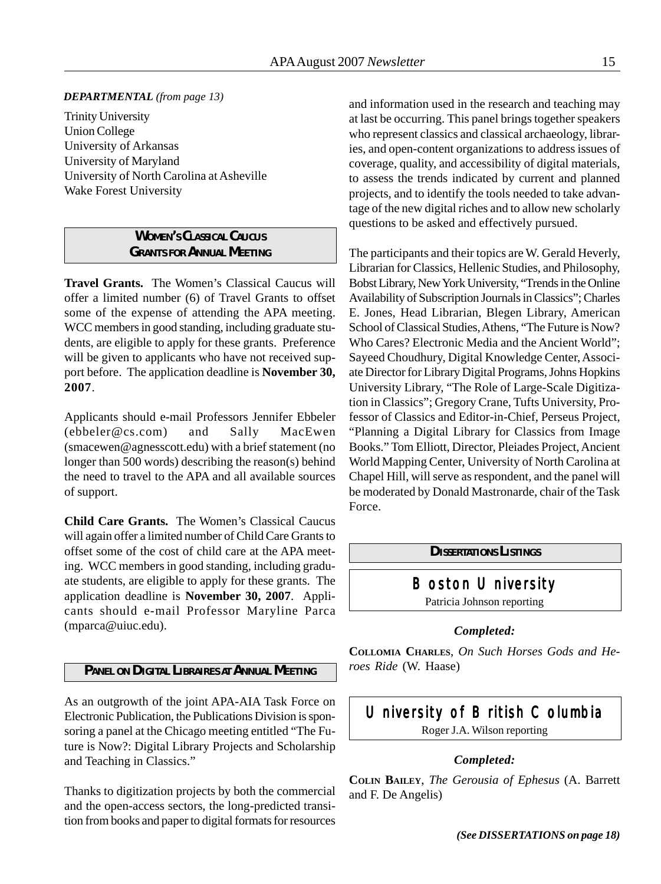#### *DEPARTMENTAL (from page 13)*

Trinity University Union College University of Arkansas University of Maryland University of North Carolina at Asheville Wake Forest University

#### *WOMEN'S CLASSICAL CAUCUS GRANTS FOR ANNUAL MEETING*

**Travel Grants.** The Women's Classical Caucus will offer a limited number (6) of Travel Grants to offset some of the expense of attending the APA meeting. WCC members in good standing, including graduate students, are eligible to apply for these grants. Preference will be given to applicants who have not received support before. The application deadline is **November 30, 2007**.

Applicants should e-mail Professors Jennifer Ebbeler (ebbeler@cs.com) and Sally MacEwen (smacewen@agnesscott.edu) with a brief statement (no longer than 500 words) describing the reason(s) behind the need to travel to the APA and all available sources of support.

**Child Care Grants.** The Women's Classical Caucus will again offer a limited number of Child Care Grants to offset some of the cost of child care at the APA meeting. WCC members in good standing, including graduate students, are eligible to apply for these grants. The application deadline is **November 30, 2007**. Applicants should e-mail Professor Maryline Parca (mparca@uiuc.edu).

#### *PANEL ON DIGITAL LIBRAIRES AT ANNUAL MEETING*

As an outgrowth of the joint APA-AIA Task Force on Electronic Publication, the Publications Division is sponsoring a panel at the Chicago meeting entitled "The Future is Now?: Digital Library Projects and Scholarship and Teaching in Classics."

Thanks to digitization projects by both the commercial and the open-access sectors, the long-predicted transition from books and paper to digital formats for resources

and information used in the research and teaching may at last be occurring. This panel brings together speakers who represent classics and classical archaeology, libraries, and open-content organizations to address issues of coverage, quality, and accessibility of digital materials, to assess the trends indicated by current and planned projects, and to identify the tools needed to take advantage of the new digital riches and to allow new scholarly questions to be asked and effectively pursued.

The participants and their topics are W. Gerald Heverly, Librarian for Classics, Hellenic Studies, and Philosophy, Bobst Library, New York University, "Trends in the Online Availability of Subscription Journals in Classics"; Charles E. Jones, Head Librarian, Blegen Library, American School of Classical Studies, Athens, "The Future is Now? Who Cares? Electronic Media and the Ancient World"; Sayeed Choudhury, Digital Knowledge Center, Associate Director for Library Digital Programs, Johns Hopkins University Library, "The Role of Large-Scale Digitization in Classics"; Gregory Crane, Tufts University, Professor of Classics and Editor-in-Chief, Perseus Project, "Planning a Digital Library for Classics from Image Books." Tom Elliott, Director, Pleiades Project, Ancient World Mapping Center, University of North Carolina at Chapel Hill, will serve as respondent, and the panel will be moderated by Donald Mastronarde, chair of the Task Force.

*DISSERTATIONS LISTINGS*

Boston University

Patricia Johnson reporting

#### *Completed:*

**COLLOMIA CHARLES**, *On Such Horses Gods and Heroes Ride* (W. Haase)

## University of British Columbia

Roger J.A. Wilson reporting

#### *Completed:*

**COLIN BAILEY**, *The Gerousia of Ephesus* (A. Barrett and F. De Angelis)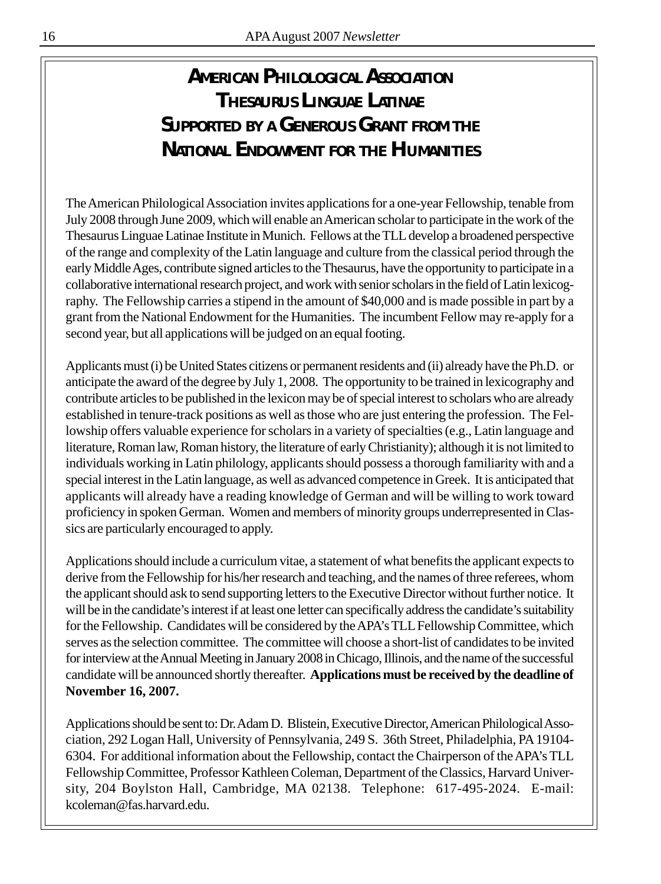## *AMERICAN PHILOLOGICAL ASSOCIATION THESAURUS LINGUAE LATINAE SUPPORTED BY A GENEROUS GRANT FROM THE NATIONAL ENDOWMENT FOR THE HUMANITIES*

The American Philological Association invites applications for a one-year Fellowship, tenable from July 2008 through June 2009, which will enable an American scholar to participate in the work of the Thesaurus Linguae Latinae Institute in Munich. Fellows at the TLL develop a broadened perspective of the range and complexity of the Latin language and culture from the classical period through the early Middle Ages, contribute signed articles to the Thesaurus, have the opportunity to participate in a collaborative international research project, and work with senior scholars in the field of Latin lexicography. The Fellowship carries a stipend in the amount of \$40,000 and is made possible in part by a grant from the National Endowment for the Humanities. The incumbent Fellow may re-apply for a second year, but all applications will be judged on an equal footing.

Applicants must (i) be United States citizens or permanent residents and (ii) already have the Ph.D. or anticipate the award of the degree by July 1, 2008. The opportunity to be trained in lexicography and contribute articles to be published in the lexicon may be of special interest to scholars who are already established in tenure-track positions as well as those who are just entering the profession. The Fellowship offers valuable experience for scholars in a variety of specialties (e.g., Latin language and literature, Roman law, Roman history, the literature of early Christianity); although it is not limited to individuals working in Latin philology, applicants should possess a thorough familiarity with and a special interest in the Latin language, as well as advanced competence in Greek. It is anticipated that applicants will already have a reading knowledge of German and will be willing to work toward proficiency in spoken German. Women and members of minority groups underrepresented in Classics are particularly encouraged to apply.

Applications should include a curriculum vitae, a statement of what benefits the applicant expects to derive from the Fellowship for his/her research and teaching, and the names of three referees, whom the applicant should ask to send supporting letters to the Executive Director without further notice. It will be in the candidate's interest if at least one letter can specifically address the candidate's suitability for the Fellowship. Candidates will be considered by the APA's TLL Fellowship Committee, which serves as the selection committee. The committee will choose a short-list of candidates to be invited for interview at the Annual Meeting in January 2008 in Chicago, Illinois, and the name of the successful candidate will be announced shortly thereafter. **Applications must be received by the deadline of November 16, 2007.**

Applications should be sent to: Dr. Adam D. Blistein, Executive Director, American Philological Association, 292 Logan Hall, University of Pennsylvania, 249 S. 36th Street, Philadelphia, PA 19104- 6304. For additional information about the Fellowship, contact the Chairperson of the APA's TLL Fellowship Committee, Professor Kathleen Coleman, Department of the Classics, Harvard University, 204 Boylston Hall, Cambridge, MA 02138. Telephone: 617-495-2024. E-mail: kcoleman@fas.harvard.edu.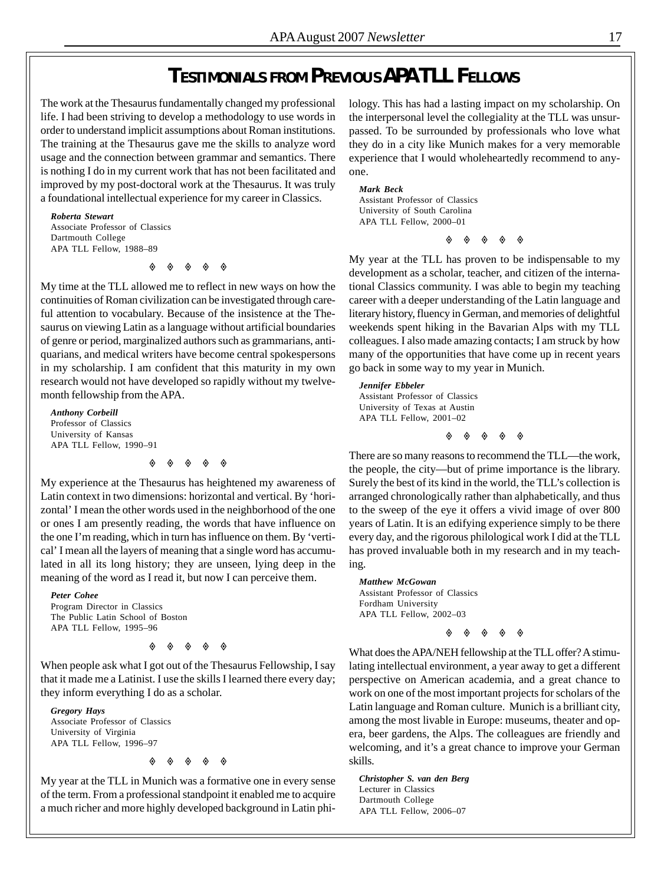## *TESTIMONIALS FROM PREVIOUS APA TLL FELLOWS*

The work at the Thesaurus fundamentally changed my professional life. I had been striving to develop a methodology to use words in order to understand implicit assumptions about Roman institutions. The training at the Thesaurus gave me the skills to analyze word usage and the connection between grammar and semantics. There is nothing I do in my current work that has not been facilitated and improved by my post-doctoral work at the Thesaurus. It was truly a foundational intellectual experience for my career in Classics.

*Roberta Stewart* Associate Professor of Classics Dartmouth College APA TLL Fellow, 1988–89

◈ ◈ ◈ ◈ ◈

My time at the TLL allowed me to reflect in new ways on how the continuities of Roman civilization can be investigated through careful attention to vocabulary. Because of the insistence at the Thesaurus on viewing Latin as a language without artificial boundaries of genre or period, marginalized authors such as grammarians, antiquarians, and medical writers have become central spokespersons in my scholarship. I am confident that this maturity in my own research would not have developed so rapidly without my twelvemonth fellowship from the APA.

*Anthony Corbeill* Professor of Classics University of Kansas APA TLL Fellow, 1990–91

 $\diamond$   $\diamond$   $\diamond$   $\diamond$   $\diamond$ 

My experience at the Thesaurus has heightened my awareness of Latin context in two dimensions: horizontal and vertical. By 'horizontal' I mean the other words used in the neighborhood of the one or ones I am presently reading, the words that have influence on the one I'm reading, which in turn has influence on them. By 'vertical' I mean all the layers of meaning that a single word has accumulated in all its long history; they are unseen, lying deep in the meaning of the word as I read it, but now I can perceive them.

#### *Peter Cohee*

Program Director in Classics The Public Latin School of Boston APA TLL Fellow, 1995–96

 $\begin{array}{ccccccccccccccccc} \diamond & \diamond & \diamond & \diamond & \diamond & \diamond & \diamond & \circ \end{array}$ 

When people ask what I got out of the Thesaurus Fellowship, I say that it made me a Latinist. I use the skills I learned there every day; they inform everything I do as a scholar.

*Gregory Hays* Associate Professor of Classics University of Virginia APA TLL Fellow, 1996–97



My year at the TLL in Munich was a formative one in every sense of the term. From a professional standpoint it enabled me to acquire a much richer and more highly developed background in Latin philology. This has had a lasting impact on my scholarship. On the interpersonal level the collegiality at the TLL was unsurpassed. To be surrounded by professionals who love what they do in a city like Munich makes for a very memorable experience that I would wholeheartedly recommend to anyone.

*Mark Beck*

Assistant Professor of Classics University of South Carolina APA TLL Fellow, 2000–01

◈ ◈ ◈ ◈ ◈

My year at the TLL has proven to be indispensable to my development as a scholar, teacher, and citizen of the international Classics community. I was able to begin my teaching career with a deeper understanding of the Latin language and literary history, fluency in German, and memories of delightful weekends spent hiking in the Bavarian Alps with my TLL colleagues. I also made amazing contacts; I am struck by how many of the opportunities that have come up in recent years go back in some way to my year in Munich.

*Jennifer Ebbeler* Assistant Professor of Classics University of Texas at Austin APA TLL Fellow, 2001–02

 $\diamond$   $\diamond$   $\diamond$   $\diamond$   $\diamond$ 

There are so many reasons to recommend the TLL—the work, the people, the city—but of prime importance is the library. Surely the best of its kind in the world, the TLL's collection is arranged chronologically rather than alphabetically, and thus to the sweep of the eye it offers a vivid image of over 800 years of Latin. It is an edifying experience simply to be there every day, and the rigorous philological work I did at the TLL has proved invaluable both in my research and in my teaching.

*Matthew McGowan* Assistant Professor of Classics Fordham University APA TLL Fellow, 2002–03

 $\begin{array}{ccccccccccccccccc} \diamond & \diamond & \diamond & \diamond & \diamond & \diamond & \diamond & \circ \end{array}$ 

What does the APA/NEH fellowship at the TLL offer? A stimulating intellectual environment, a year away to get a different perspective on American academia, and a great chance to work on one of the most important projects for scholars of the Latin language and Roman culture. Munich is a brilliant city, among the most livable in Europe: museums, theater and opera, beer gardens, the Alps. The colleagues are friendly and welcoming, and it's a great chance to improve your German skills.

*Christopher S. van den Berg* Lecturer in Classics Dartmouth College APA TLL Fellow, 2006–07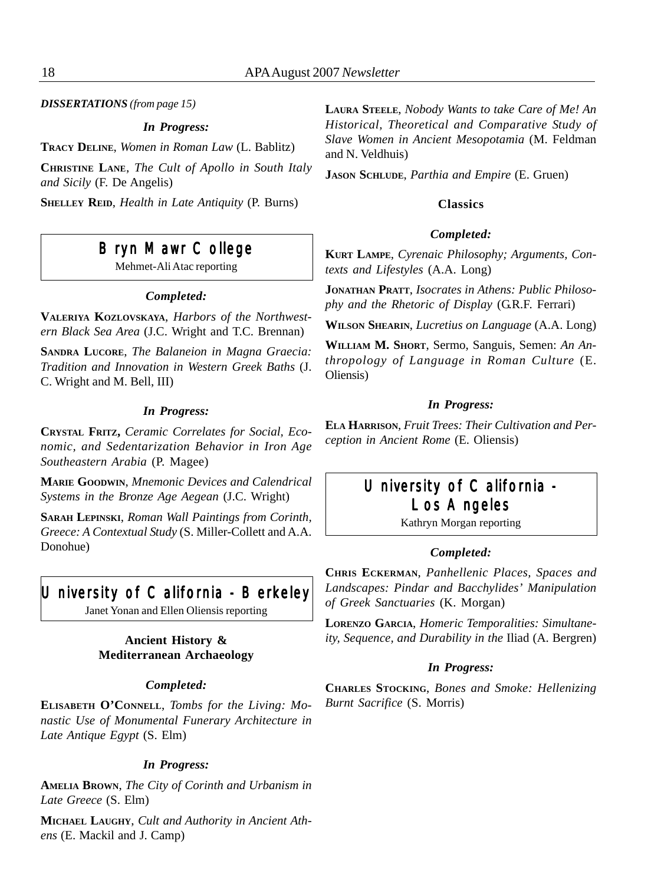*DISSERTATIONS (from page 15)*

#### *In Progress:*

**TRACY DELINE**, *Women in Roman Law* (L. Bablitz)

**CHRISTINE LANE**, *The Cult of Apollo in South Italy and Sicily* (F. De Angelis)

**SHELLEY REID**, *Health in Late Antiquity* (P. Burns)

## Bryn Mawr College

Mehmet-Ali Atac reporting

#### *Completed:*

**VALERIYA KOZLOVSKAYA**, *Harbors of the Northwestern Black Sea Area* (J.C. Wright and T.C. Brennan)

**SANDRA LUCORE**, *The Balaneion in Magna Graecia: Tradition and Innovation in Western Greek Baths* (J. C. Wright and M. Bell, III)

#### *In Progress:*

**CRYSTAL FRITZ,** *Ceramic Correlates for Social, Economic, and Sedentarization Behavior in Iron Age Southeastern Arabia* (P. Magee)

**MARIE GOODWIN**, *Mnemonic Devices and Calendrical Systems in the Bronze Age Aegean* (J.C. Wright)

**SARAH LEPINSKI**, *Roman Wall Paintings from Corinth, Greece: A Contextual Study* (S. Miller-Collett and A.A. Donohue)

## University of California - Berkeley

Janet Yonan and Ellen Oliensis reporting

#### **Ancient History & Mediterranean Archaeology**

#### *Completed:*

**ELISABETH O'CONNELL**, *Tombs for the Living: Monastic Use of Monumental Funerary Architecture in Late Antique Egypt* (S. Elm)

#### *In Progress:*

**AMELIA BROWN**, *The City of Corinth and Urbanism in Late Greece* (S. Elm)

**MICHAEL LAUGHY**, *Cult and Authority in Ancient Athens* (E. Mackil and J. Camp)

**LAURA STEELE**, *Nobody Wants to take Care of Me! An Historical, Theoretical and Comparative Study of Slave Women in Ancient Mesopotamia* (M. Feldman and N. Veldhuis)

**JASON SCHLUDE**, *Parthia and Empire* (E. Gruen)

#### **Classics**

#### *Completed:*

**KURT LAMPE**, *Cyrenaic Philosophy; Arguments, Contexts and Lifestyles* (A.A. Long)

**JONATHAN PRATT**, *Isocrates in Athens: Public Philosophy and the Rhetoric of Display* (G.R.F. Ferrari)

**WILSON SHEARIN**, *Lucretius on Language* (A.A. Long)

**WILLIAM M. SHORT**, Sermo, Sanguis, Semen: *An Anthropology of Language in Roman Culture* (E. Oliensis)

#### *In Progress:*

**ELA HARRISON**, *Fruit Trees: Their Cultivation and Perception in Ancient Rome* (E. Oliensis)

## University of California -Los Angeles

Kathryn Morgan reporting

#### *Completed:*

**CHRIS ECKERMAN**, *Panhellenic Places, Spaces and Landscapes: Pindar and Bacchylides' Manipulation of Greek Sanctuaries* (K. Morgan)

**LORENZO GARCIA**, *Homeric Temporalities: Simultaneity, Sequence, and Durability in the* Iliad (A. Bergren)

#### *In Progress:*

**CHARLES STOCKING**, *Bones and Smoke: Hellenizing Burnt Sacrifice* (S. Morris)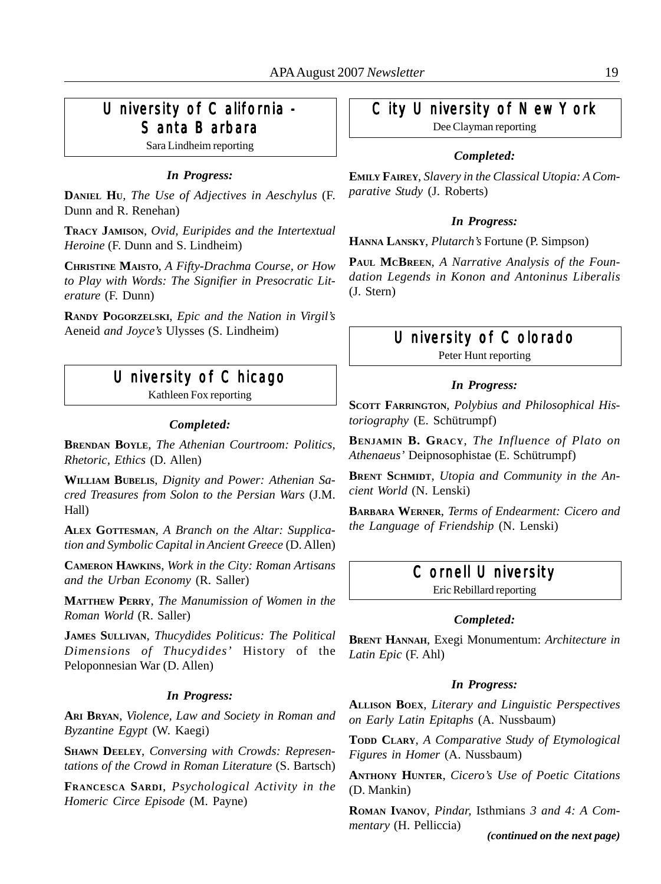## University of California -Santa Barbara

Sara Lindheim reporting

#### *In Progress:*

**DANIEL HU**, *The Use of Adjectives in Aeschylus* (F. Dunn and R. Renehan)

**TRACY JAMISON**, *Ovid, Euripides and the Intertextual Heroine* (F. Dunn and S. Lindheim)

**CHRISTINE MAISTO**, *A Fifty-Drachma Course, or How to Play with Words: The Signifier in Presocratic Literature* (F. Dunn)

**RANDY POGORZELSKI**, *Epic and the Nation in Virgil's* Aeneid *and Joyce's* Ulysses (S. Lindheim)

## University of Chicago

Kathleen Fox reporting

#### *Completed:*

**BRENDAN BOYLE**, *The Athenian Courtroom: Politics, Rhetoric, Ethics* (D. Allen)

**WILLIAM BUBELIS**, *Dignity and Power: Athenian Sacred Treasures from Solon to the Persian Wars* (J.M. Hall)

**ALEX GOTTESMAN**, *A Branch on the Altar: Supplication and Symbolic Capital in Ancient Greece* (D. Allen)

**CAMERON HAWKINS**, *Work in the City: Roman Artisans and the Urban Economy* (R. Saller)

**MATTHEW PERRY**, *The Manumission of Women in the Roman World* (R. Saller)

**JAMES SULLIVAN**, *Thucydides Politicus: The Political Dimensions of Thucydides'* History of the Peloponnesian War (D. Allen)

#### *In Progress:*

**ARI BRYAN**, *Violence, Law and Society in Roman and Byzantine Egypt* (W. Kaegi)

**SHAWN DEELEY**, *Conversing with Crowds: Representations of the Crowd in Roman Literature* (S. Bartsch)

**FRANCESCA SARDI**, *Psychological Activity in the Homeric Circe Episode* (M. Payne)

## City University of New York

Dee Clayman reporting

#### *Completed:*

**EMILY FAIREY**, *Slavery in the Classical Utopia: A Comparative Study* (J. Roberts)

#### *In Progress:*

**HANNA LANSKY**, *Plutarch's* Fortune (P. Simpson)

**PAUL MCBREEN**, *A Narrative Analysis of the Foundation Legends in Konon and Antoninus Liberalis* (J. Stern)

#### University of Colorado

Peter Hunt reporting

#### *In Progress:*

**SCOTT FARRINGTON**, *Polybius and Philosophical Historiography* (E. Schütrumpf)

**BENJAMIN B. GRACY**, *The Influence of Plato on Athenaeus'* Deipnosophistae (E. Schütrumpf)

**BRENT SCHMIDT**, *Utopia and Community in the Ancient World* (N. Lenski)

**BARBARA WERNER**, *Terms of Endearment: Cicero and the Language of Friendship* (N. Lenski)

## Cornell University

Eric Rebillard reporting

#### *Completed:*

**BRENT HANNAH**, Exegi Monumentum: *Architecture in Latin Epic* (F. Ahl)

#### *In Progress:*

**ALLISON BOEX**, *Literary and Linguistic Perspectives on Early Latin Epitaphs* (A. Nussbaum)

**TODD CLARY**, *A Comparative Study of Etymological Figures in Homer* (A. Nussbaum)

**ANTHONY HUNTER**, *Cicero's Use of Poetic Citations* (D. Mankin)

**ROMAN IVANOV**, *Pindar,* Isthmians *3 and 4: A Commentary* (H. Pelliccia)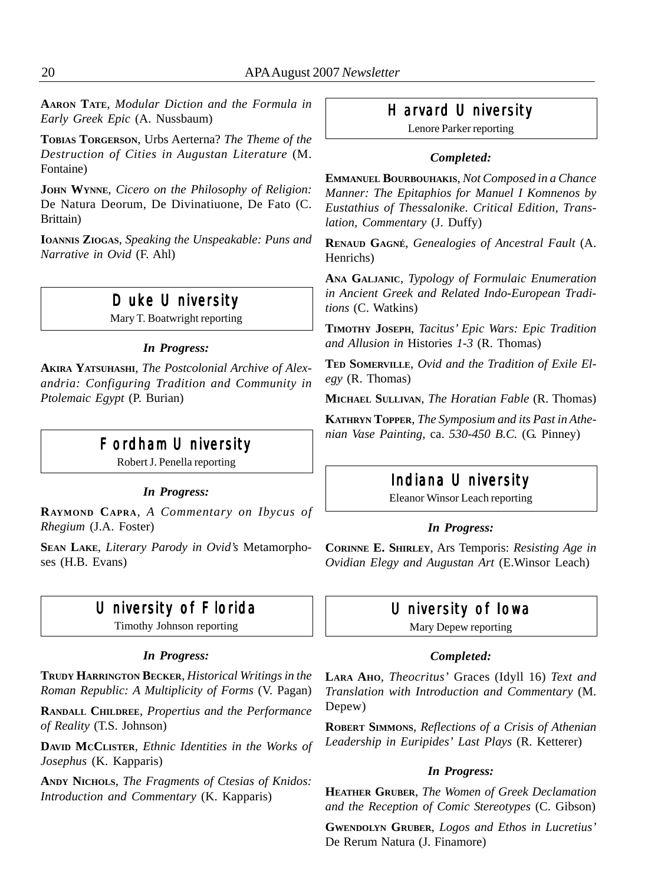**AARON TATE**, *Modular Diction and the Formula in Early Greek Epic* (A. Nussbaum)

**TOBIAS TORGERSON**, Urbs Aerterna? *The Theme of the Destruction of Cities in Augustan Literature* (M. Fontaine)

**JOHN WYNNE**, *Cicero on the Philosophy of Religion:* De Natura Deorum, De Divinatiuone, De Fato (C. Brittain)

**IOANNIS ZIOGAS**, *Speaking the Unspeakable: Puns and Narrative in Ovid* (F. Ahl)

## Duke University

Mary T. Boatwright reporting

#### *In Progress:*

**AKIRA YATSUHASHI**, *The Postcolonial Archive of Alexandria: Configuring Tradition and Community in Ptolemaic Egypt* (P. Burian)

## Fordham University

Robert J. Penella reporting

#### *In Progress:*

**RAYMOND CAPRA**, *A Commentary on Ibycus of Rhegium* (J.A. Foster)

**SEAN LAKE**, *Literary Parody in Ovid's* Metamorphoses (H.B. Evans)

## University of Florida

Timothy Johnson reporting

#### *In Progress:*

**TRUDY HARRINGTON BECKER**, *Historical Writings in the Roman Republic: A Multiplicity of Forms* (V. Pagan)

**RANDALL CHILDREE**, *Propertius and the Performance of Reality* (T.S. Johnson)

**DAVID MCCLISTER**, *Ethnic Identities in the Works of Josephus* (K. Kapparis)

**ANDY NICHOLS**, *The Fragments of Ctesias of Knidos: Introduction and Commentary* (K. Kapparis)

## Harvard University

Lenore Parker reporting

#### *Completed:*

**EMMANUEL BOURBOUHAKIS**, *Not Composed in a Chance Manner: The Epitaphios for Manuel I Komnenos by Eustathius of Thessalonike. Critical Edition, Translation, Commentary* (J. Duffy)

**RENAUD GAGNÉ**, *Genealogies of Ancestral Fault* (A. Henrichs)

**ANA GALJANIC**, *Typology of Formulaic Enumeration in Ancient Greek and Related Indo-European Traditions* (C. Watkins)

**TIMOTHY JOSEPH**, *Tacitus' Epic Wars: Epic Tradition and Allusion in* Histories *1-3* (R. Thomas)

**TED SOMERVILLE**, *Ovid and the Tradition of Exile Elegy* (R. Thomas)

**MICHAEL SULLIVAN**, *The Horatian Fable* (R. Thomas)

**KATHRYN TOPPER**, *The Symposium and its Past in Athenian Vase Painting,* ca. *530-450 B.C.* (G. Pinney)

#### Indiana University

Eleanor Winsor Leach reporting

#### *In Progress:*

**CORINNE E. SHIRLEY**, Ars Temporis: *Resisting Age in Ovidian Elegy and Augustan Art* (E.Winsor Leach)

## University of Iowa

Mary Depew reporting

#### *Completed:*

**LARA AHO**, *Theocritus'* Graces (Idyll 16) *Text and Translation with Introduction and Commentary* (M. Depew)

**ROBERT SIMMONS**, *Reflections of a Crisis of Athenian Leadership in Euripides' Last Plays* (R. Ketterer)

#### *In Progress:*

**HEATHER GRUBER**, *The Women of Greek Declamation and the Reception of Comic Stereotypes* (C. Gibson)

**GWENDOLYN GRUBER**, *Logos and Ethos in Lucretius'* De Rerum Natura (J. Finamore)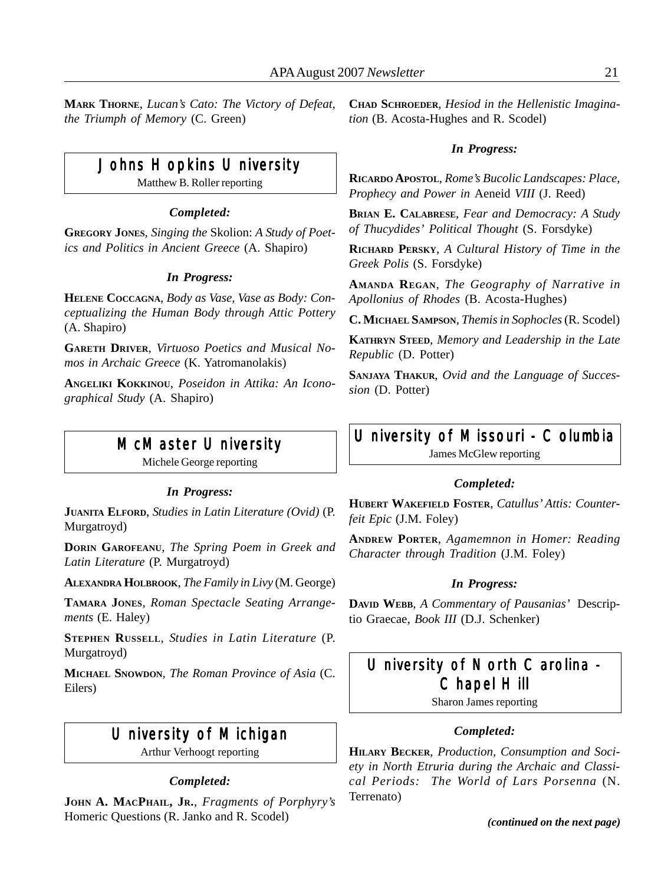**MARK THORNE**, *Lucan's Cato: The Victory of Defeat, the Triumph of Memory* (C. Green)

## Johns Hopkins University

Matthew B. Roller reporting

#### *Completed:*

**GREGORY JONES**, *Singing the* Skolion: *A Study of Poetics and Politics in Ancient Greece* (A. Shapiro)

#### *In Progress:*

**HELENE COCCAGNA**, *Body as Vase, Vase as Body: Conceptualizing the Human Body through Attic Pottery* (A. Shapiro)

**GARETH DRIVER**, *Virtuoso Poetics and Musical Nomos in Archaic Greece* (K. Yatromanolakis)

**ANGELIKI KOKKINOU**, *Poseidon in Attika: An Iconographical Study* (A. Shapiro)

## McMaster University

Michele George reporting

#### *In Progress:*

**JUANITA ELFORD**, *Studies in Latin Literature (Ovid)* (P. Murgatroyd)

**DORIN GAROFEANU**, *The Spring Poem in Greek and Latin Literature* (P. Murgatroyd)

**ALEXANDRA HOLBROOK**, *The Family in Livy* (M. George)

**TAMARA JONES**, *Roman Spectacle Seating Arrangements* (E. Haley)

**STEPHEN RUSSELL**, *Studies in Latin Literature* (P. Murgatroyd)

**MICHAEL SNOWDON**, *The Roman Province of Asia* (C. Eilers)

## University of Michigan

Arthur Verhoogt reporting

#### *Completed:*

**JOHN A. MACPHAIL, JR.**, *Fragments of Porphyry's* Homeric Questions (R. Janko and R. Scodel)

**CHAD SCHROEDER**, *Hesiod in the Hellenistic Imagination* (B. Acosta-Hughes and R. Scodel)

#### *In Progress:*

**RICARDO APOSTOL**, *Rome's Bucolic Landscapes: Place, Prophecy and Power in* Aeneid *VIII* (J. Reed)

**BRIAN E. CALABRESE**, *Fear and Democracy: A Study of Thucydides' Political Thought* (S. Forsdyke)

**RICHARD PERSKY**, *A Cultural History of Time in the Greek Polis* (S. Forsdyke)

**AMANDA REGAN**, *The Geography of Narrative in Apollonius of Rhodes* (B. Acosta-Hughes)

**C. MICHAEL SAMPSON**, *Themis in Sophocles* (R. Scodel)

**KATHRYN STEED**, *Memory and Leadership in the Late Republic* (D. Potter)

**SANJAYA THAKUR**, *Ovid and the Language of Succession* (D. Potter)

## University of Missouri - Columbia

James McGlew reporting

#### *Completed:*

**HUBERT WAKEFIELD FOSTER**, *Catullus' Attis: Counterfeit Epic* (J.M. Foley)

**ANDREW PORTER**, *Agamemnon in Homer: Reading Character through Tradition* (J.M. Foley)

#### *In Progress:*

**DAVID WEBB**, *A Commentary of Pausanias'* Descriptio Graecae, *Book III* (D.J. Schenker)

## University of North Carolina -Chapel Hill

Sharon James reporting

#### *Completed:*

**HILARY BECKER**, *Production, Consumption and Society in North Etruria during the Archaic and Classical Periods: The World of Lars Porsenna* (N. Terrenato)

*(continued on the next page)*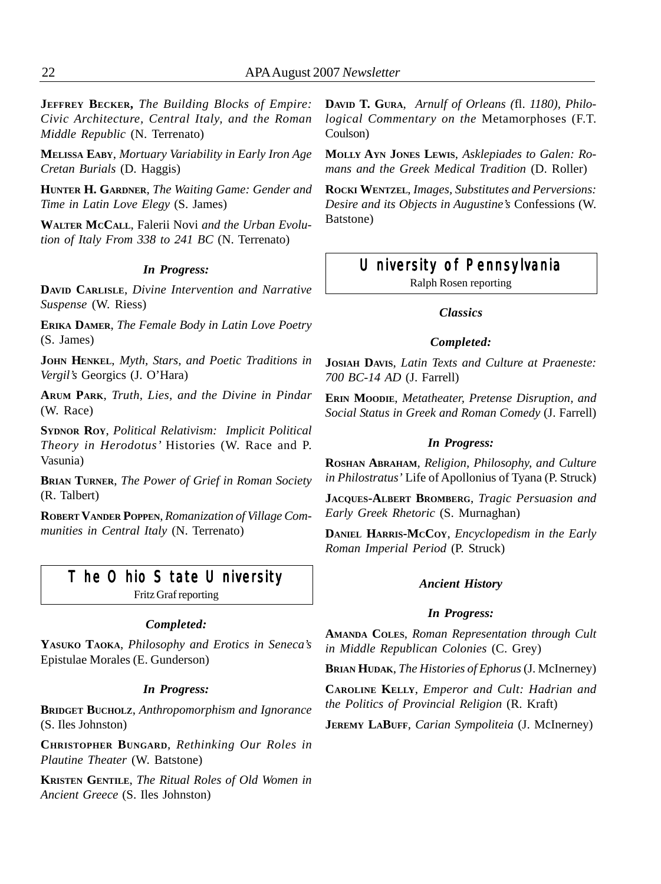**JEFFREY BECKER,** *The Building Blocks of Empire: Civic Architecture, Central Italy, and the Roman Middle Republic* (N. Terrenato)

**MELISSA EABY**, *Mortuary Variability in Early Iron Age Cretan Burials* (D. Haggis)

**HUNTER H. GARDNER**, *The Waiting Game: Gender and Time in Latin Love Elegy* (S. James)

**WALTER MCCALL**, Falerii Novi *and the Urban Evolution of Italy From 338 to 241 BC* (N. Terrenato)

#### *In Progress:*

**DAVID CARLISLE**, *Divine Intervention and Narrative Suspense* (W. Riess)

**ERIKA DAMER**, *The Female Body in Latin Love Poetry* (S. James)

**JOHN HENKEL**, *Myth, Stars, and Poetic Traditions in Vergil's* Georgics (J. O'Hara)

**ARUM PARK**, *Truth, Lies, and the Divine in Pindar* (W. Race)

**SYDNOR ROY**, *Political Relativism: Implicit Political Theory in Herodotus'* Histories (W. Race and P. Vasunia)

**BRIAN TURNER**, *The Power of Grief in Roman Society* (R. Talbert)

**ROBERT VANDER POPPEN**, *Romanization of Village Communities in Central Italy* (N. Terrenato)

## The Ohio State University

Fritz Graf reporting

#### *Completed:*

**YASUKO TAOKA**, *Philosophy and Erotics in Seneca's* Epistulae Morales (E. Gunderson)

#### *In Progress:*

**BRIDGET BUCHOLZ**, *Anthropomorphism and Ignorance* (S. Iles Johnston)

**CHRISTOPHER BUNGARD**, *Rethinking Our Roles in Plautine Theater* (W. Batstone)

**KRISTEN GENTILE**, *The Ritual Roles of Old Women in Ancient Greece* (S. Iles Johnston)

**DAVID T. GURA**, *Arnulf of Orleans (*fl. *1180), Philological Commentary on the* Metamorphoses (F.T. Coulson)

**MOLLY AYN JONES LEWIS**, *Asklepiades to Galen: Romans and the Greek Medical Tradition* (D. Roller)

**ROCKI WENTZEL**, *Images, Substitutes and Perversions: Desire and its Objects in Augustine's* Confessions (W. Batstone)

#### University of Pennsylvania

Ralph Rosen reporting

#### *Classics*

#### *Completed:*

**JOSIAH DAVIS**, *Latin Texts and Culture at Praeneste: 700 BC-14 AD* (J. Farrell)

**ERIN MOODIE**, *Metatheater, Pretense Disruption, and Social Status in Greek and Roman Comedy* (J. Farrell)

#### *In Progress:*

**ROSHAN ABRAHAM**, *Religion, Philosophy, and Culture in Philostratus'* Life of Apollonius of Tyana (P. Struck)

**JACQUES-ALBERT BROMBERG**, *Tragic Persuasion and Early Greek Rhetoric* (S. Murnaghan)

**DANIEL HARRIS-MCCOY**, *Encyclopedism in the Early Roman Imperial Period* (P. Struck)

#### *Ancient History*

#### *In Progress:*

**AMANDA COLES**, *Roman Representation through Cult in Middle Republican Colonies* (C. Grey)

**BRIAN HUDAK**, *The Histories of Ephorus* (J. McInerney)

**CAROLINE KELLY**, *Emperor and Cult: Hadrian and the Politics of Provincial Religion* (R. Kraft)

**JEREMY LABUFF**, *Carian Sympoliteia* (J. McInerney)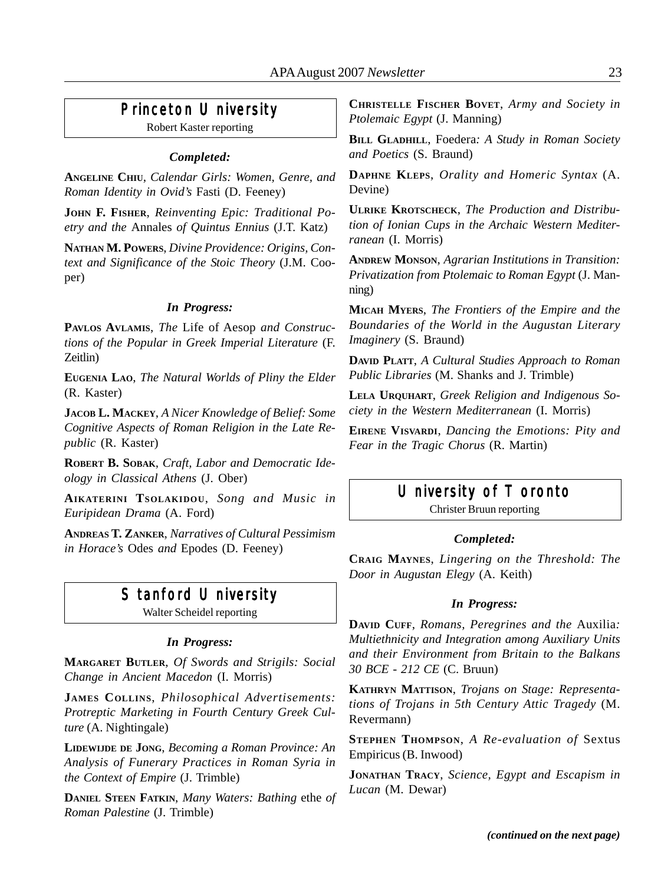## Princeton University

Robert Kaster reporting

#### *Completed:*

**ANGELINE CHIU**, *Calendar Girls: Women, Genre, and Roman Identity in Ovid's* Fasti (D. Feeney)

**JOHN F. FISHER**, *Reinventing Epic: Traditional Poetry and the* Annales *of Quintus Ennius* (J.T. Katz)

**NATHAN M. POWERS**, *Divine Providence: Origins, Context and Significance of the Stoic Theory* (J.M. Cooper)

#### *In Progress:*

**PAVLOS AVLAMIS**, *The* Life of Aesop *and Constructions of the Popular in Greek Imperial Literature* (F. Zeitlin)

**EUGENIA LAO**, *The Natural Worlds of Pliny the Elder* (R. Kaster)

**JACOB L. MACKEY**, *A Nicer Knowledge of Belief: Some Cognitive Aspects of Roman Religion in the Late Republic* (R. Kaster)

**ROBERT B. SOBAK**, *Craft, Labor and Democratic Ideology in Classical Athens* (J. Ober)

**AIKATERINI TSOLAKIDOU**, *Song and Music in Euripidean Drama* (A. Ford)

**ANDREAS T. ZANKER**, *Narratives of Cultural Pessimism in Horace's* Odes *and* Epodes (D. Feeney)

## Stanford University

Walter Scheidel reporting

#### *In Progress:*

**MARGARET BUTLER**, *Of Swords and Strigils: Social Change in Ancient Macedon* (I. Morris)

**JAMES COLLINS**, *Philosophical Advertisements: Protreptic Marketing in Fourth Century Greek Culture* (A. Nightingale)

**LIDEWIJDE DE JONG**, *Becoming a Roman Province: An Analysis of Funerary Practices in Roman Syria in the Context of Empire* (J. Trimble)

**DANIEL STEEN FATKIN**, *Many Waters: Bathing* ethe *of Roman Palestine* (J. Trimble)

**CHRISTELLE FISCHER BOVET**, *Army and Society in Ptolemaic Egypt* (J. Manning)

**BILL GLADHILL**, Foedera*: A Study in Roman Society and Poetics* (S. Braund)

**DAPHNE KLEPS**, *Orality and Homeric Syntax* (A. Devine)

**ULRIKE KROTSCHECK**, *The Production and Distribution of Ionian Cups in the Archaic Western Mediterranean* (I. Morris)

**ANDREW MONSON**, *Agrarian Institutions in Transition: Privatization from Ptolemaic to Roman Egypt* (J. Manning)

**MICAH MYERS**, *The Frontiers of the Empire and the Boundaries of the World in the Augustan Literary Imaginery* (S. Braund)

**DAVID PLATT**, *A Cultural Studies Approach to Roman Public Libraries* (M. Shanks and J. Trimble)

**LELA URQUHART**, *Greek Religion and Indigenous Society in the Western Mediterranean* (I. Morris)

**EIRENE VISVARDI**, *Dancing the Emotions: Pity and Fear in the Tragic Chorus* (R. Martin)

#### University of Toronto

Christer Bruun reporting

#### *Completed:*

**CRAIG MAYNES**, *Lingering on the Threshold: The Door in Augustan Elegy* (A. Keith)

#### *In Progress:*

**DAVID CUFF**, *Romans, Peregrines and the* Auxilia*: Multiethnicity and Integration among Auxiliary Units and their Environment from Britain to the Balkans 30 BCE - 212 CE* (C. Bruun)

**KATHRYN MATTISON**, *Trojans on Stage: Representations of Trojans in 5th Century Attic Tragedy* (M. Revermann)

**STEPHEN THOMPSON**, *A Re-evaluation of* Sextus Empiricus (B. Inwood)

**JONATHAN TRACY**, *Science, Egypt and Escapism in Lucan* (M. Dewar)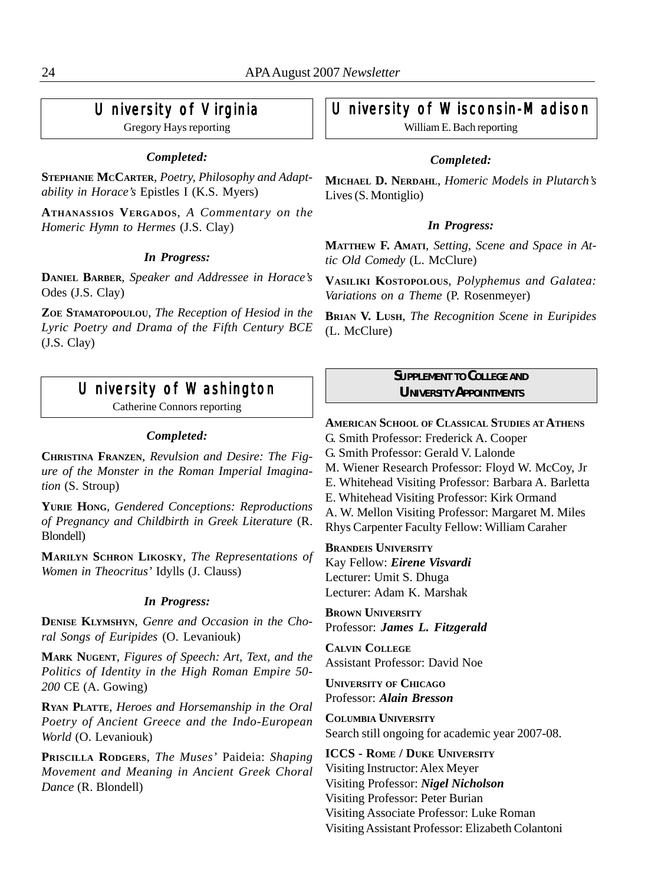## University of Virginia

Gregory Hays reporting

#### *Completed:*

**STEPHANIE MCCARTER**, *Poetry, Philosophy and Adaptability in Horace's* Epistles I (K.S. Myers)

**ATHANASSIOS VERGADOS**, *A Commentary on the Homeric Hymn to Hermes* (J.S. Clay)

#### *In Progress:*

**DANIEL BARBER**, *Speaker and Addressee in Horace's* Odes (J.S. Clay)

**ZOE STAMATOPOULOU**, *The Reception of Hesiod in the Lyric Poetry and Drama of the Fifth Century BCE* (J.S. Clay)

## University of Washington

Catherine Connors reporting

#### *Completed:*

**CHRISTINA FRANZEN**, *Revulsion and Desire: The Figure of the Monster in the Roman Imperial Imagination* (S. Stroup)

**YURIE HONG**, *Gendered Conceptions: Reproductions of Pregnancy and Childbirth in Greek Literature* (R. Blondell)

**MARILYN SCHRON LIKOSKY**, *The Representations of Women in Theocritus'* Idylls (J. Clauss)

#### *In Progress:*

**DENISE KLYMSHYN**, *Genre and Occasion in the Choral Songs of Euripides* (O. Levaniouk)

**MARK NUGENT**, *Figures of Speech: Art, Text, and the Politics of Identity in the High Roman Empire 50- 200* CE (A. Gowing)

**RYAN PLATTE**, *Heroes and Horsemanship in the Oral Poetry of Ancient Greece and the Indo-European World* (O. Levaniouk)

**PRISCILLA RODGERS**, *The Muses'* Paideia: *Shaping Movement and Meaning in Ancient Greek Choral Dance* (R. Blondell)

## University of Wisconsin-Madison

William E. Bach reporting

#### *Completed:*

**MICHAEL D. NERDAHL**, *Homeric Models in Plutarch's* Lives (S. Montiglio)

#### *In Progress:*

**MATTHEW F. AMATI**, *Setting, Scene and Space in Attic Old Comedy* (L. McClure)

**VASILIKI KOSTOPOLOUS**, *Polyphemus and Galatea: Variations on a Theme* (P. Rosenmeyer)

**BRIAN V. LUSH**, *The Recognition Scene in Euripides* (L. McClure)

#### *SUPPLEMENT TO COLLEGE AND UNIVERSITY APPOINTMENTS*

**AMERICAN SCHOOL OF CLASSICAL STUDIES AT ATHENS** G. Smith Professor: Frederick A. Cooper G. Smith Professor: Gerald V. Lalonde M. Wiener Research Professor: Floyd W. McCoy, Jr E. Whitehead Visiting Professor: Barbara A. Barletta E. Whitehead Visiting Professor: Kirk Ormand A. W. Mellon Visiting Professor: Margaret M. Miles Rhys Carpenter Faculty Fellow: William Caraher

**BRANDEIS UNIVERSITY** Kay Fellow: *Eirene Visvardi* Lecturer: Umit S. Dhuga Lecturer: Adam K. Marshak

**BROWN UNIVERSITY** Professor: *James L. Fitzgerald*

**CALVIN COLLEGE** Assistant Professor: David Noe

**UNIVERSITY OF CHICAGO** Professor: *Alain Bresson*

**COLUMBIA UNIVERSITY** Search still ongoing for academic year 2007-08.

**ICCS - ROME / DUKE UNIVERSITY** Visiting Instructor: Alex Meyer Visiting Professor: *Nigel Nicholson* Visiting Professor: Peter Burian Visiting Associate Professor: Luke Roman Visiting Assistant Professor: Elizabeth Colantoni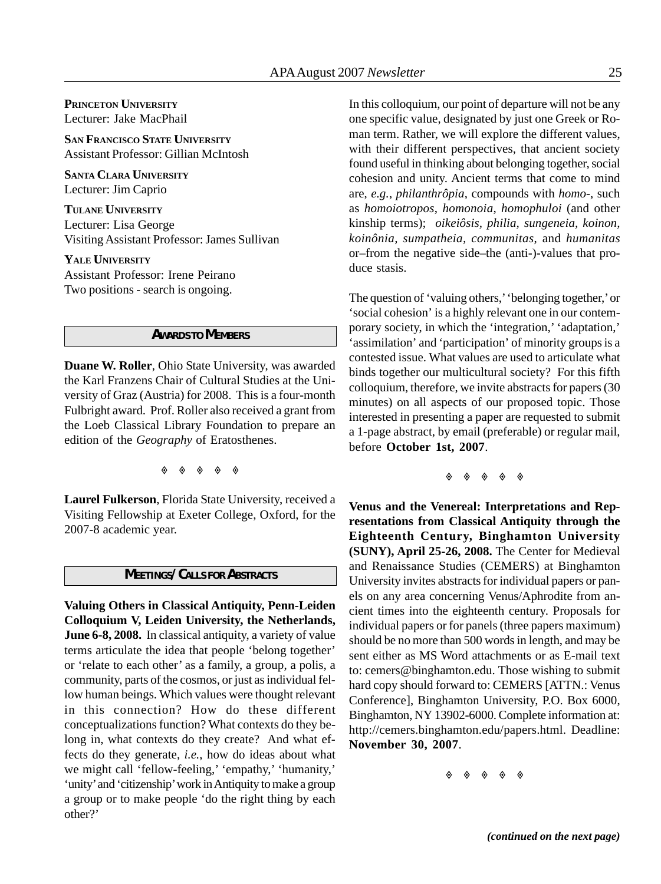**PRINCETON UNIVERSITY** Lecturer: Jake MacPhail

**SAN FRANCISCO STATE UNIVERSITY** Assistant Professor: Gillian McIntosh

**SANTA CLARA UNIVERSITY** Lecturer: Jim Caprio

**TULANE UNIVERSITY** Lecturer: Lisa George Visiting Assistant Professor: James Sullivan

**YALE UNIVERSITY** Assistant Professor: Irene Peirano Two positions - search is ongoing.

#### *AWARDS TO MEMBERS*

**Duane W. Roller**, Ohio State University, was awarded the Karl Franzens Chair of Cultural Studies at the University of Graz (Austria) for 2008. This is a four-month Fulbright award. Prof. Roller also received a grant from the Loeb Classical Library Foundation to prepare an edition of the *Geography* of Eratosthenes.

 $\begin{array}{ccccccc}\n\circ & & \circ & & \circ & & \circ\n\end{array}$ 

**Laurel Fulkerson**, Florida State University, received a Visiting Fellowship at Exeter College, Oxford, for the 2007-8 academic year.

#### *MEETINGS/CALLS FOR ABSTRACTS*

**Valuing Others in Classical Antiquity, Penn-Leiden Colloquium V, Leiden University, the Netherlands, June 6-8, 2008.** In classical antiquity, a variety of value terms articulate the idea that people 'belong together' or 'relate to each other' as a family, a group, a polis, a community, parts of the cosmos, or just as individual fellow human beings. Which values were thought relevant in this connection? How do these different conceptualizations function? What contexts do they belong in, what contexts do they create? And what effects do they generate, *i.e.*, how do ideas about what we might call 'fellow-feeling,' 'empathy,' 'humanity,' 'unity' and 'citizenship' work in Antiquity to make a group a group or to make people 'do the right thing by each other?'

In this colloquium, our point of departure will not be any one specific value, designated by just one Greek or Roman term. Rather, we will explore the different values, with their different perspectives, that ancient society found useful in thinking about belonging together, social cohesion and unity. Ancient terms that come to mind are, *e.g.*, *philanthrôpia*, compounds with *homo*-, such as *homoiotropos*, *homonoia*, *homophuloi* (and other kinship terms); *oikeiôsis, philia, sungeneia, koinon, koinônia, sumpatheia, communitas*, and *humanitas* or–from the negative side–the (anti-)-values that produce stasis.

The question of 'valuing others,' 'belonging together,' or 'social cohesion' is a highly relevant one in our contemporary society, in which the 'integration,' 'adaptation,' 'assimilation' and 'participation' of minority groups is a contested issue. What values are used to articulate what binds together our multicultural society? For this fifth colloquium, therefore, we invite abstracts for papers (30 minutes) on all aspects of our proposed topic. Those interested in presenting a paper are requested to submit a 1-page abstract, by email (preferable) or regular mail, before **October 1st, 2007**.

◈ ◈ ◈ ◈ ◈

**Venus and the Venereal: Interpretations and Representations from Classical Antiquity through the Eighteenth Century, Binghamton University (SUNY), April 25-26, 2008.** The Center for Medieval and Renaissance Studies (CEMERS) at Binghamton University invites abstracts for individual papers or panels on any area concerning Venus/Aphrodite from ancient times into the eighteenth century. Proposals for individual papers or for panels (three papers maximum) should be no more than 500 words in length, and may be sent either as MS Word attachments or as E-mail text to: cemers@binghamton.edu. Those wishing to submit hard copy should forward to: CEMERS [ATTN.: Venus Conference], Binghamton University, P.O. Box 6000, Binghamton, NY 13902-6000. Complete information at: http://cemers.binghamton.edu/papers.html. Deadline: **November 30, 2007**.

 $\begin{array}{ccccc}\n\bullet & \bullet\n\end{array}$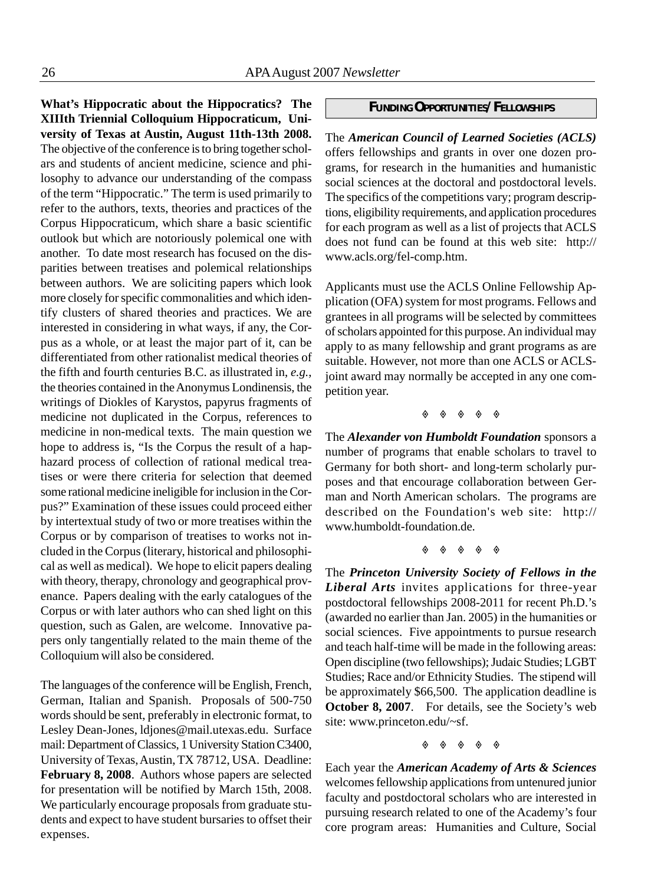**What's Hippocratic about the Hippocratics? The XIIIth Triennial Colloquium Hippocraticum, University of Texas at Austin, August 11th-13th 2008.** The objective of the conference is to bring together scholars and students of ancient medicine, science and philosophy to advance our understanding of the compass of the term "Hippocratic." The term is used primarily to refer to the authors, texts, theories and practices of the Corpus Hippocraticum, which share a basic scientific outlook but which are notoriously polemical one with another. To date most research has focused on the disparities between treatises and polemical relationships between authors. We are soliciting papers which look more closely for specific commonalities and which identify clusters of shared theories and practices. We are interested in considering in what ways, if any, the Corpus as a whole, or at least the major part of it, can be differentiated from other rationalist medical theories of the fifth and fourth centuries B.C. as illustrated in, *e.g.*, the theories contained in the Anonymus Londinensis, the writings of Diokles of Karystos, papyrus fragments of medicine not duplicated in the Corpus, references to medicine in non-medical texts. The main question we hope to address is, "Is the Corpus the result of a haphazard process of collection of rational medical treatises or were there criteria for selection that deemed some rational medicine ineligible for inclusion in the Corpus?" Examination of these issues could proceed either by intertextual study of two or more treatises within the Corpus or by comparison of treatises to works not included in the Corpus (literary, historical and philosophical as well as medical). We hope to elicit papers dealing with theory, therapy, chronology and geographical provenance. Papers dealing with the early catalogues of the Corpus or with later authors who can shed light on this question, such as Galen, are welcome. Innovative papers only tangentially related to the main theme of the Colloquium will also be considered.

The languages of the conference will be English, French, German, Italian and Spanish. Proposals of 500-750 words should be sent, preferably in electronic format, to Lesley Dean-Jones, ldjones@mail.utexas.edu. Surface mail: Department of Classics, 1 University Station C3400, University of Texas, Austin, TX 78712, USA. Deadline: **February 8, 2008**. Authors whose papers are selected for presentation will be notified by March 15th, 2008. We particularly encourage proposals from graduate students and expect to have student bursaries to offset their expenses.

#### *FUNDING OPPORTUNITIES/FELLOWSHIPS*

The *American Council of Learned Societies (ACLS)* offers fellowships and grants in over one dozen programs, for research in the humanities and humanistic social sciences at the doctoral and postdoctoral levels. The specifics of the competitions vary; program descriptions, eligibility requirements, and application procedures for each program as well as a list of projects that ACLS does not fund can be found at this web site: http:// www.acls.org/fel-comp.htm.

Applicants must use the ACLS Online Fellowship Application (OFA) system for most programs. Fellows and grantees in all programs will be selected by committees of scholars appointed for this purpose. An individual may apply to as many fellowship and grant programs as are suitable. However, not more than one ACLS or ACLSjoint award may normally be accepted in any one competition year.

◈ ◈ ◈ ◈ ◈

The *Alexander von Humboldt Foundation* sponsors a number of programs that enable scholars to travel to Germany for both short- and long-term scholarly purposes and that encourage collaboration between German and North American scholars. The programs are described on the Foundation's web site: http:// www.humboldt-foundation.de.

The *Princeton University Society of Fellows in the Liberal Arts* invites applications for three-year postdoctoral fellowships 2008-2011 for recent Ph.D.'s (awarded no earlier than Jan. 2005) in the humanities or social sciences. Five appointments to pursue research and teach half-time will be made in the following areas: Open discipline (two fellowships); Judaic Studies; LGBT Studies; Race and/or Ethnicity Studies. The stipend will be approximately \$66,500. The application deadline is **October 8, 2007**. For details, see the Society's web site: www.princeton.edu/~sf.

Each year the *American Academy of Arts & Sciences* welcomes fellowship applications from untenured junior faculty and postdoctoral scholars who are interested in pursuing research related to one of the Academy's four core program areas: Humanities and Culture, Social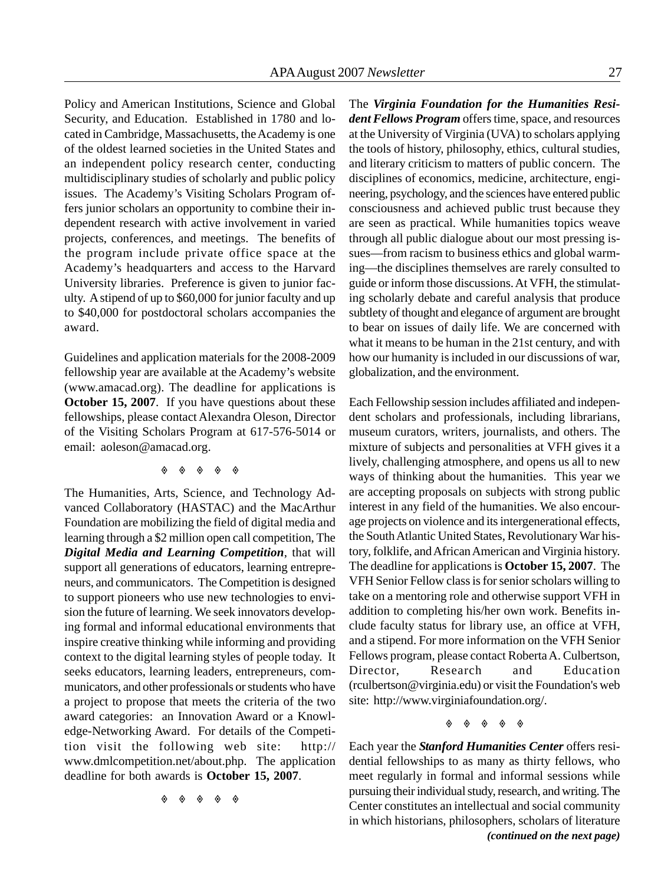Policy and American Institutions, Science and Global Security, and Education. Established in 1780 and located in Cambridge, Massachusetts, the Academy is one of the oldest learned societies in the United States and an independent policy research center, conducting multidisciplinary studies of scholarly and public policy issues. The Academy's Visiting Scholars Program offers junior scholars an opportunity to combine their independent research with active involvement in varied projects, conferences, and meetings. The benefits of the program include private office space at the Academy's headquarters and access to the Harvard University libraries. Preference is given to junior faculty. A stipend of up to \$60,000 for junior faculty and up to \$40,000 for postdoctoral scholars accompanies the award.

Guidelines and application materials for the 2008-2009 fellowship year are available at the Academy's website (www.amacad.org). The deadline for applications is **October 15, 2007**. If you have questions about these fellowships, please contact Alexandra Oleson, Director of the Visiting Scholars Program at 617-576-5014 or email: aoleson@amacad.org.

#### $\begin{array}{ccccccc}\n\circ & & \circ & & \circ & & \circ\n\end{array}$

The Humanities, Arts, Science, and Technology Advanced Collaboratory (HASTAC) and the MacArthur Foundation are mobilizing the field of digital media and learning through a \$2 million open call competition, The *Digital Media and Learning Competition*, that will support all generations of educators, learning entrepreneurs, and communicators. The Competition is designed to support pioneers who use new technologies to envision the future of learning. We seek innovators developing formal and informal educational environments that inspire creative thinking while informing and providing context to the digital learning styles of people today. It seeks educators, learning leaders, entrepreneurs, communicators, and other professionals or students who have a project to propose that meets the criteria of the two award categories: an Innovation Award or a Knowledge-Networking Award. For details of the Competition visit the following web site: http:// www.dmlcompetition.net/about.php. The application deadline for both awards is **October 15, 2007**.

◈ ◈ ◈ ◈ ◈

The *Virginia Foundation for the Humanities Resident Fellows Program* offers time, space, and resources at the University of Virginia (UVA) to scholars applying the tools of history, philosophy, ethics, cultural studies, and literary criticism to matters of public concern. The disciplines of economics, medicine, architecture, engineering, psychology, and the sciences have entered public consciousness and achieved public trust because they are seen as practical. While humanities topics weave through all public dialogue about our most pressing issues—from racism to business ethics and global warming—the disciplines themselves are rarely consulted to guide or inform those discussions. At VFH, the stimulating scholarly debate and careful analysis that produce subtlety of thought and elegance of argument are brought to bear on issues of daily life. We are concerned with what it means to be human in the 21st century, and with how our humanity is included in our discussions of war, globalization, and the environment.

Each Fellowship session includes affiliated and independent scholars and professionals, including librarians, museum curators, writers, journalists, and others. The mixture of subjects and personalities at VFH gives it a lively, challenging atmosphere, and opens us all to new ways of thinking about the humanities. This year we are accepting proposals on subjects with strong public interest in any field of the humanities. We also encourage projects on violence and its intergenerational effects, the South Atlantic United States, Revolutionary War history, folklife, and African American and Virginia history. The deadline for applications is **October 15, 2007**. The VFH Senior Fellow class is for senior scholars willing to take on a mentoring role and otherwise support VFH in addition to completing his/her own work. Benefits include faculty status for library use, an office at VFH, and a stipend. For more information on the VFH Senior Fellows program, please contact Roberta A. Culbertson, Director, Research and Education (rculbertson@virginia.edu) or visit the Foundation's web site: http://www.virginiafoundation.org/.

#### 

Each year the *Stanford Humanities Center* offers residential fellowships to as many as thirty fellows, who meet regularly in formal and informal sessions while pursuing their individual study, research, and writing. The Center constitutes an intellectual and social community in which historians, philosophers, scholars of literature *(continued on the next page)*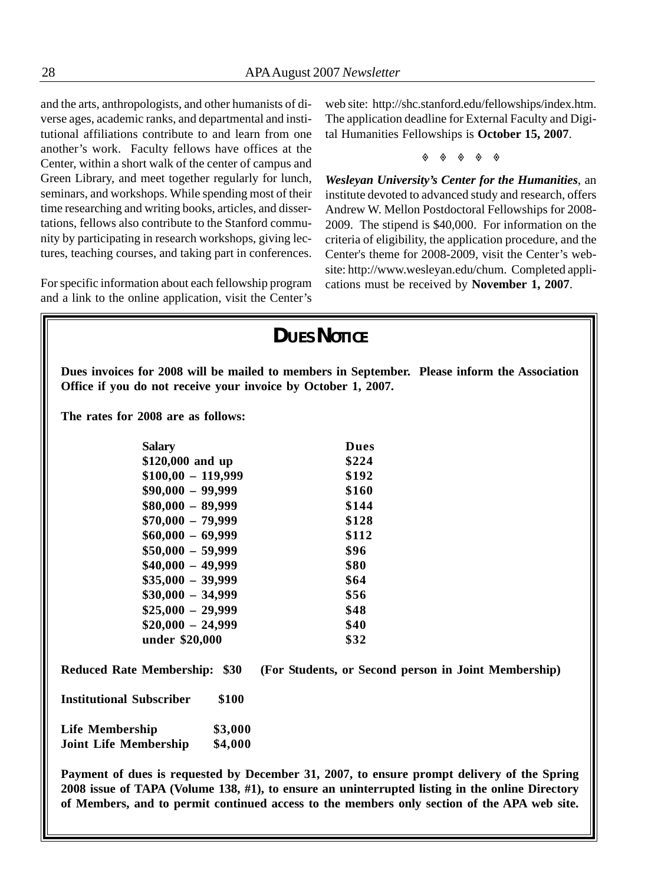and the arts, anthropologists, and other humanists of diverse ages, academic ranks, and departmental and institutional affiliations contribute to and learn from one another's work. Faculty fellows have offices at the Center, within a short walk of the center of campus and Green Library, and meet together regularly for lunch, seminars, and workshops. While spending most of their time researching and writing books, articles, and dissertations, fellows also contribute to the Stanford community by participating in research workshops, giving lectures, teaching courses, and taking part in conferences.

For specific information about each fellowship program and a link to the online application, visit the Center's web site: http://shc.stanford.edu/fellowships/index.htm. The application deadline for External Faculty and Digital Humanities Fellowships is **October 15, 2007**.

 $\begin{array}{ccccccc}\n\circ & & \circ & & \circ & & \circ\n\end{array}$ 

*Wesleyan University's Center for the Humanities*, an institute devoted to advanced study and research, offers Andrew W. Mellon Postdoctoral Fellowships for 2008- 2009. The stipend is \$40,000. For information on the criteria of eligibility, the application procedure, and the Center's theme for 2008-2009, visit the Center's website: http://www.wesleyan.edu/chum. Completed applications must be received by **November 1, 2007**.

|                                                               | <b>DUES NOTICE</b>                                                                           |
|---------------------------------------------------------------|----------------------------------------------------------------------------------------------|
| Office if you do not receive your invoice by October 1, 2007. | Dues invoices for 2008 will be mailed to members in September. Please inform the Association |
| The rates for 2008 are as follows:                            |                                                                                              |
| <b>Salary</b>                                                 | <b>Dues</b>                                                                                  |
| \$120,000 and up                                              | \$224                                                                                        |
| $$100,00 - 119,999$                                           | \$192                                                                                        |
| $$90,000 - 99,999$                                            | \$160                                                                                        |
| $$80,000 - 89,999$                                            | \$144                                                                                        |
| $$70,000 - 79,999$                                            | \$128                                                                                        |
| $$60,000 - 69,999$                                            | \$112                                                                                        |
| $$50,000 - 59,999$                                            | \$96                                                                                         |
| $$40,000 - 49,999$                                            | \$80                                                                                         |
| $$35,000 - 39,999$                                            | \$64                                                                                         |
| $$30,000 - 34,999$                                            | \$56                                                                                         |
| $$25,000 - 29,999$                                            | \$48                                                                                         |
| $$20,000 - 24,999$                                            | \$40                                                                                         |
| under \$20,000                                                | \$32                                                                                         |
| <b>Reduced Rate Membership: \$30</b>                          | (For Students, or Second person in Joint Membership)                                         |
| <b>Institutional Subscriber</b><br>\$100                      |                                                                                              |
| <b>Life Membership</b><br>\$3,000                             |                                                                                              |
| \$4,000<br><b>Joint Life Membership</b>                       |                                                                                              |

**Payment of dues is requested by December 31, 2007, to ensure prompt delivery of the Spring 2008 issue of TAPA (Volume 138, #1), to ensure an uninterrupted listing in the online Directory of Members, and to permit continued access to the members only section of the APA web site.**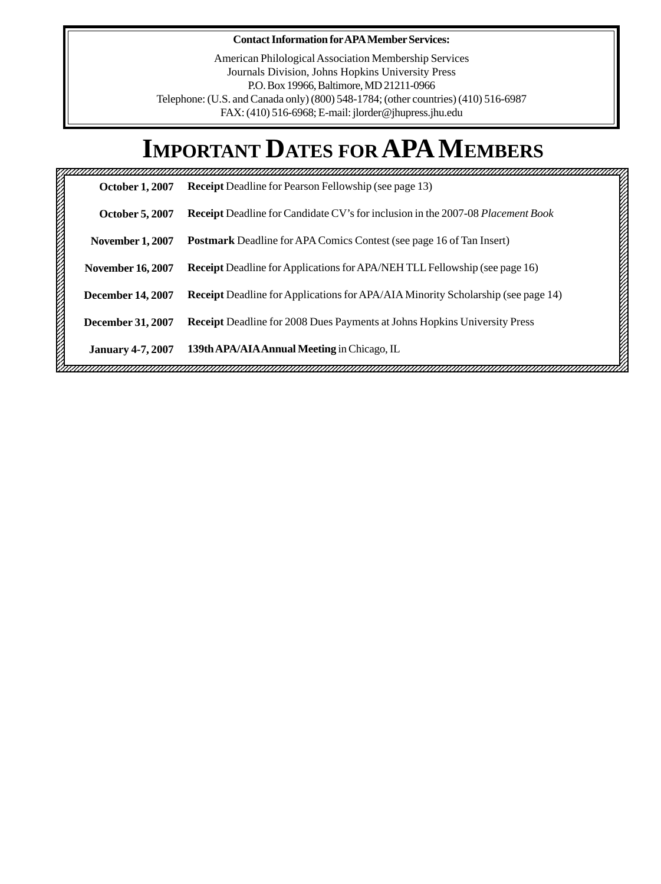#### **Contact Information for APA Member Services:**

American Philological Association Membership Services Journals Division, Johns Hopkins University Press P.O. Box 19966, Baltimore, MD 21211-0966 Telephone: (U.S. and Canada only) (800) 548-1784; (other countries) (410) 516-6987 FAX: (410) 516-6968; E-mail: jlorder@jhupress.jhu.edu

## **IMPORTANT DATES FOR APA MEMBERS**

| <b>October 1, 2007</b>   | <b>Receipt</b> Deadline for Pearson Fellowship (see page 13)                            |
|--------------------------|-----------------------------------------------------------------------------------------|
| <b>October 5, 2007</b>   | <b>Receipt</b> Deadline for Candidate CV's for inclusion in the 2007-08 Placement Book  |
| <b>November 1, 2007</b>  | <b>Postmark</b> Deadline for APA Comics Contest (see page 16 of Tan Insert)             |
| <b>November 16, 2007</b> | <b>Receipt</b> Deadline for Applications for APA/NEH TLL Fellowship (see page 16)       |
| <b>December 14, 2007</b> | <b>Receipt</b> Deadline for Applications for APA/AIA Minority Scholarship (see page 14) |
| December 31, 2007        | Receipt Deadline for 2008 Dues Payments at Johns Hopkins University Press               |
| <b>January 4-7, 2007</b> | 139th APA/AIA Annual Meeting in Chicago, IL                                             |

<u> Vinnommuunnummuunnummuunnummuunnummuunnummuunnummuunnummuunnummuunnummuunnummuunnummuun</u>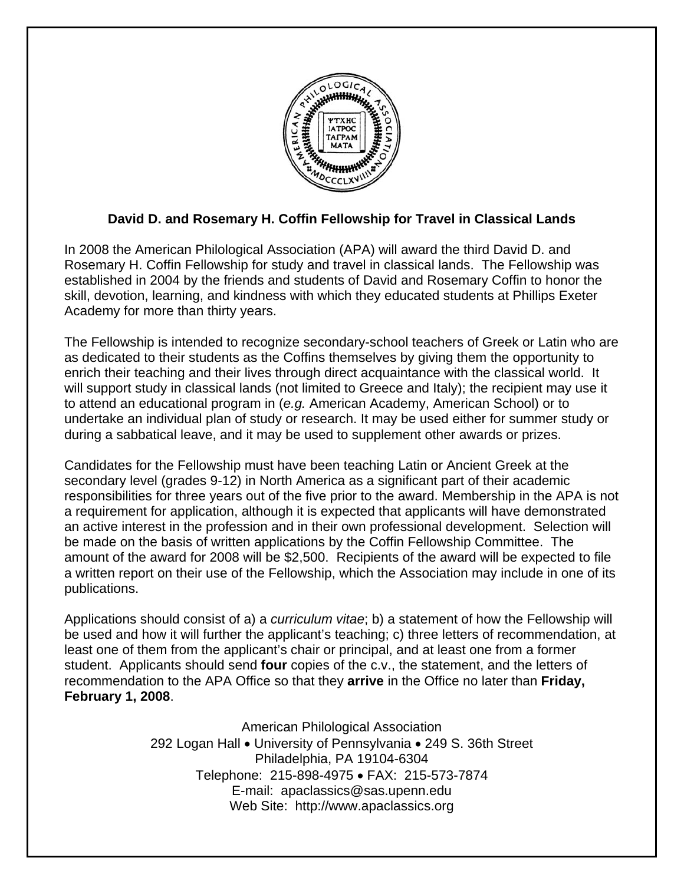

## **David D. and Rosemary H. Coffin Fellowship for Travel in Classical Lands**

In 2008 the American Philological Association (APA) will award the third David D. and Rosemary H. Coffin Fellowship for study and travel in classical lands. The Fellowship was established in 2004 by the friends and students of David and Rosemary Coffin to honor the skill, devotion, learning, and kindness with which they educated students at Phillips Exeter Academy for more than thirty years.

The Fellowship is intended to recognize secondary-school teachers of Greek or Latin who are as dedicated to their students as the Coffins themselves by giving them the opportunity to enrich their teaching and their lives through direct acquaintance with the classical world. It will support study in classical lands (not limited to Greece and Italy); the recipient may use it to attend an educational program in (*e.g.* American Academy, American School) or to undertake an individual plan of study or research. It may be used either for summer study or during a sabbatical leave, and it may be used to supplement other awards or prizes.

Candidates for the Fellowship must have been teaching Latin or Ancient Greek at the secondary level (grades 9-12) in North America as a significant part of their academic responsibilities for three years out of the five prior to the award. Membership in the APA is not a requirement for application, although it is expected that applicants will have demonstrated an active interest in the profession and in their own professional development. Selection will be made on the basis of written applications by the Coffin Fellowship Committee. The amount of the award for 2008 will be \$2,500. Recipients of the award will be expected to file a written report on their use of the Fellowship, which the Association may include in one of its publications.

Applications should consist of a) a *curriculum vitae*; b) a statement of how the Fellowship will be used and how it will further the applicant's teaching; c) three letters of recommendation, at least one of them from the applicant's chair or principal, and at least one from a former student. Applicants should send **four** copies of the c.v., the statement, and the letters of recommendation to the APA Office so that they **arrive** in the Office no later than **Friday, February 1, 2008**.

> American Philological Association 292 Logan Hall • University of Pennsylvania • 249 S. 36th Street Philadelphia, PA 19104-6304 Telephone: 215-898-4975 • FAX: 215-573-7874 E-mail: apaclassics@sas.upenn.edu Web Site: http://www.apaclassics.org